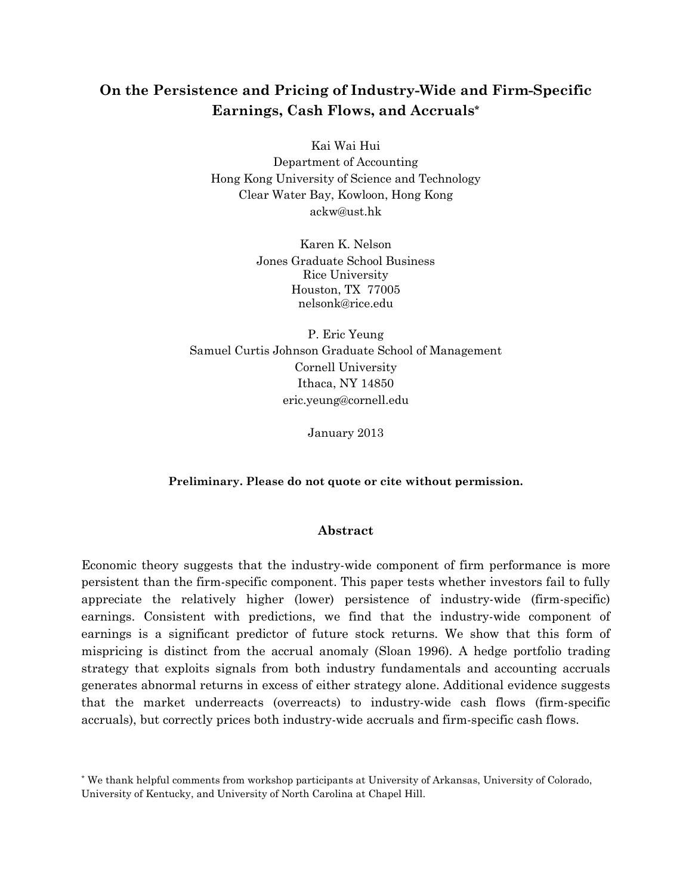# **On the Persistence and Pricing of Industry-Wide and Firm-Specific Earnings, Cash Flows, and Accruals\***

Kai Wai Hui Department of Accounting Hong Kong University of Science and Technology Clear Water Bay, Kowloon, Hong Kong ackw@ust.hk

> Karen K. Nelson Jones Graduate School Business Rice University Houston, TX 77005 nelsonk@rice.edu

P. Eric Yeung Samuel Curtis Johnson Graduate School of Management Cornell University Ithaca, NY 14850 eric.yeung@cornell.edu

January 2013

# **Preliminary. Please do not quote or cite without permission.**

# **Abstract**

Economic theory suggests that the industry-wide component of firm performance is more persistent than the firm-specific component. This paper tests whether investors fail to fully appreciate the relatively higher (lower) persistence of industry-wide (firm-specific) earnings. Consistent with predictions, we find that the industry-wide component of earnings is a significant predictor of future stock returns. We show that this form of mispricing is distinct from the accrual anomaly (Sloan 1996). A hedge portfolio trading strategy that exploits signals from both industry fundamentals and accounting accruals generates abnormal returns in excess of either strategy alone. Additional evidence suggests that the market underreacts (overreacts) to industry-wide cash flows (firm-specific accruals), but correctly prices both industry-wide accruals and firm-specific cash flows.

<sup>\*</sup> We thank helpful comments from workshop participants at University of Arkansas, University of Colorado, University of Kentucky, and University of North Carolina at Chapel Hill.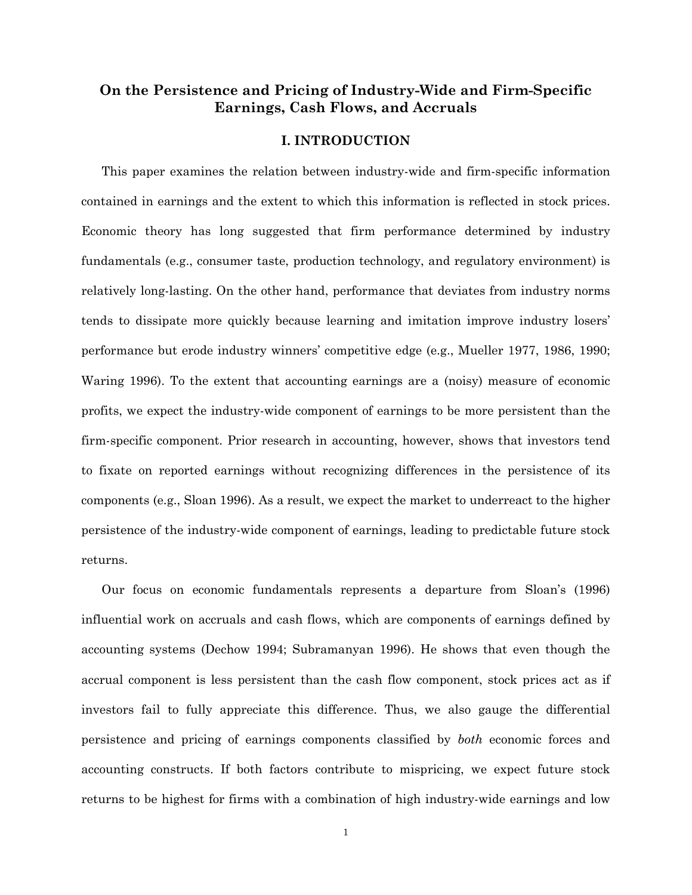# **On the Persistence and Pricing of Industry-Wide and Firm-Specific Earnings, Cash Flows, and Accruals**

# **I. INTRODUCTION**

This paper examines the relation between industry-wide and firm-specific information contained in earnings and the extent to which this information is reflected in stock prices. Economic theory has long suggested that firm performance determined by industry fundamentals (e.g., consumer taste, production technology, and regulatory environment) is relatively long-lasting. On the other hand, performance that deviates from industry norms tends to dissipate more quickly because learning and imitation improve industry losers' performance but erode industry winners' competitive edge (e.g., Mueller 1977, 1986, 1990; Waring 1996). To the extent that accounting earnings are a (noisy) measure of economic profits, we expect the industry-wide component of earnings to be more persistent than the firm-specific component. Prior research in accounting, however, shows that investors tend to fixate on reported earnings without recognizing differences in the persistence of its components (e.g., Sloan 1996). As a result, we expect the market to underreact to the higher persistence of the industry-wide component of earnings, leading to predictable future stock returns.

Our focus on economic fundamentals represents a departure from Sloan's (1996) influential work on accruals and cash flows, which are components of earnings defined by accounting systems (Dechow 1994; Subramanyan 1996). He shows that even though the accrual component is less persistent than the cash flow component, stock prices act as if investors fail to fully appreciate this difference. Thus, we also gauge the differential persistence and pricing of earnings components classified by *both* economic forces and accounting constructs. If both factors contribute to mispricing, we expect future stock returns to be highest for firms with a combination of high industry-wide earnings and low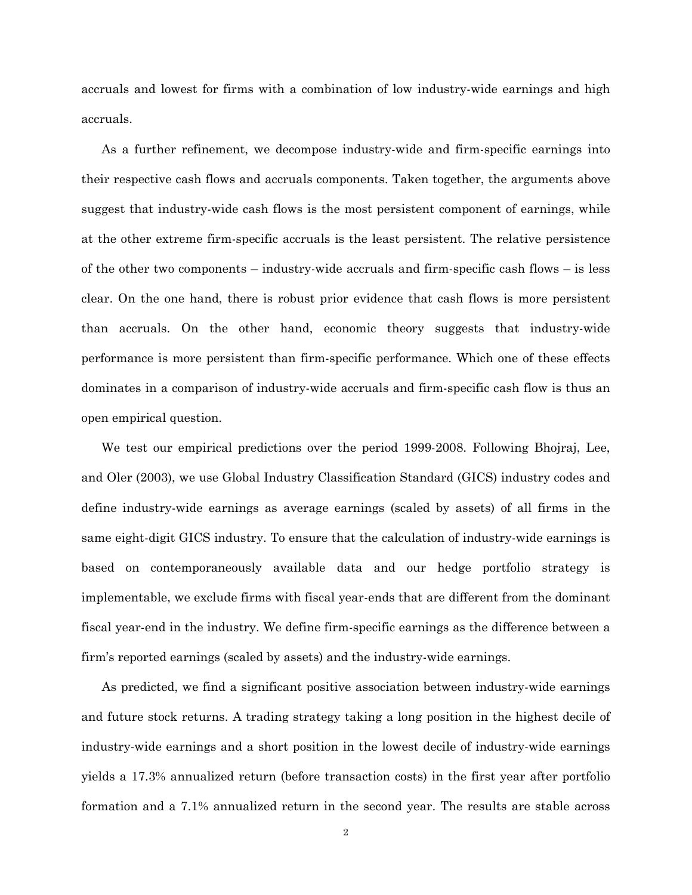accruals and lowest for firms with a combination of low industry-wide earnings and high accruals.

As a further refinement, we decompose industry-wide and firm-specific earnings into their respective cash flows and accruals components. Taken together, the arguments above suggest that industry-wide cash flows is the most persistent component of earnings, while at the other extreme firm-specific accruals is the least persistent. The relative persistence of the other two components – industry-wide accruals and firm-specific cash flows – is less clear. On the one hand, there is robust prior evidence that cash flows is more persistent than accruals. On the other hand, economic theory suggests that industry-wide performance is more persistent than firm-specific performance. Which one of these effects dominates in a comparison of industry-wide accruals and firm-specific cash flow is thus an open empirical question.

We test our empirical predictions over the period 1999-2008. Following Bhojraj, Lee, and Oler (2003), we use Global Industry Classification Standard (GICS) industry codes and define industry-wide earnings as average earnings (scaled by assets) of all firms in the same eight-digit GICS industry. To ensure that the calculation of industry-wide earnings is based on contemporaneously available data and our hedge portfolio strategy is implementable, we exclude firms with fiscal year-ends that are different from the dominant fiscal year-end in the industry. We define firm-specific earnings as the difference between a firm's reported earnings (scaled by assets) and the industry-wide earnings.

As predicted, we find a significant positive association between industry-wide earnings and future stock returns. A trading strategy taking a long position in the highest decile of industry-wide earnings and a short position in the lowest decile of industry-wide earnings yields a 17.3% annualized return (before transaction costs) in the first year after portfolio formation and a 7.1% annualized return in the second year. The results are stable across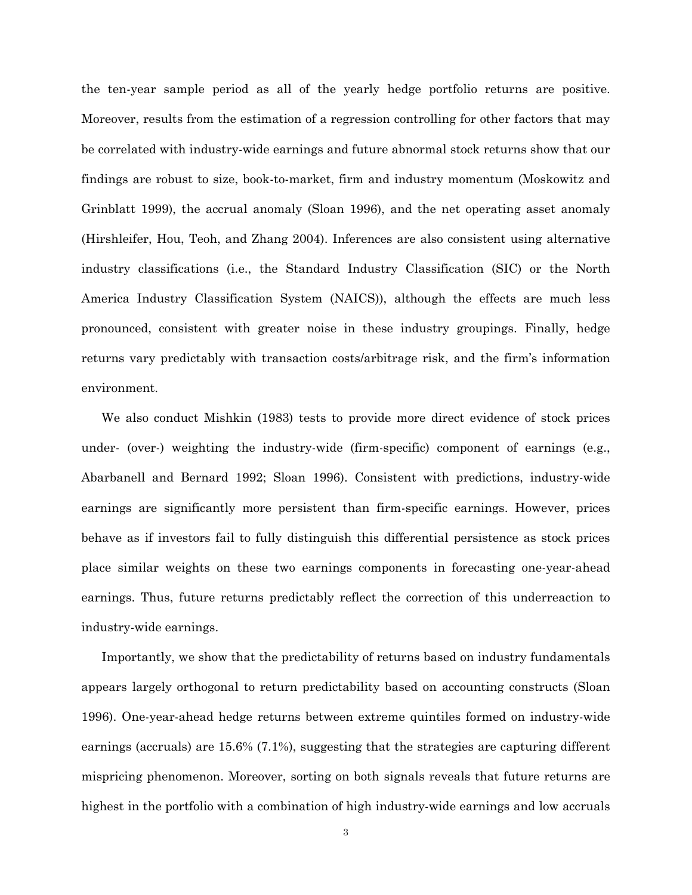the ten-year sample period as all of the yearly hedge portfolio returns are positive. Moreover, results from the estimation of a regression controlling for other factors that may be correlated with industry-wide earnings and future abnormal stock returns show that our findings are robust to size, book-to-market, firm and industry momentum (Moskowitz and Grinblatt 1999), the accrual anomaly (Sloan 1996), and the net operating asset anomaly (Hirshleifer, Hou, Teoh, and Zhang 2004). Inferences are also consistent using alternative industry classifications (i.e., the Standard Industry Classification (SIC) or the North America Industry Classification System (NAICS)), although the effects are much less pronounced, consistent with greater noise in these industry groupings. Finally, hedge returns vary predictably with transaction costs/arbitrage risk, and the firm's information environment.

We also conduct Mishkin (1983) tests to provide more direct evidence of stock prices under- (over-) weighting the industry-wide (firm-specific) component of earnings (e.g., Abarbanell and Bernard 1992; Sloan 1996). Consistent with predictions, industry-wide earnings are significantly more persistent than firm-specific earnings. However, prices behave as if investors fail to fully distinguish this differential persistence as stock prices place similar weights on these two earnings components in forecasting one-year-ahead earnings. Thus, future returns predictably reflect the correction of this underreaction to industry-wide earnings.

Importantly, we show that the predictability of returns based on industry fundamentals appears largely orthogonal to return predictability based on accounting constructs (Sloan 1996). One-year-ahead hedge returns between extreme quintiles formed on industry-wide earnings (accruals) are 15.6% (7.1%), suggesting that the strategies are capturing different mispricing phenomenon. Moreover, sorting on both signals reveals that future returns are highest in the portfolio with a combination of high industry-wide earnings and low accruals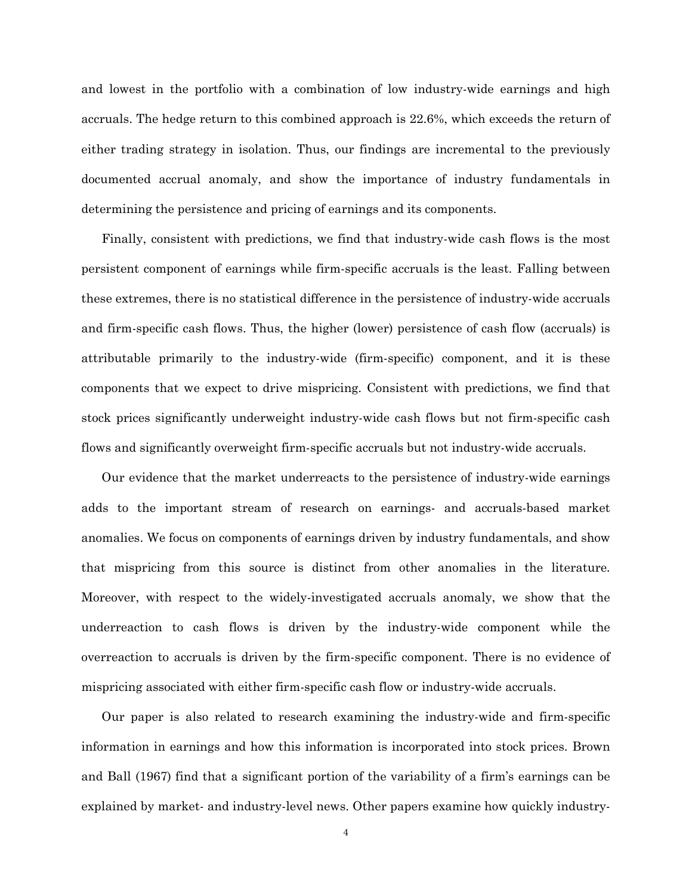and lowest in the portfolio with a combination of low industry-wide earnings and high accruals. The hedge return to this combined approach is 22.6%, which exceeds the return of either trading strategy in isolation. Thus, our findings are incremental to the previously documented accrual anomaly, and show the importance of industry fundamentals in determining the persistence and pricing of earnings and its components.

Finally, consistent with predictions, we find that industry-wide cash flows is the most persistent component of earnings while firm-specific accruals is the least. Falling between these extremes, there is no statistical difference in the persistence of industry-wide accruals and firm-specific cash flows. Thus, the higher (lower) persistence of cash flow (accruals) is attributable primarily to the industry-wide (firm-specific) component, and it is these components that we expect to drive mispricing. Consistent with predictions, we find that stock prices significantly underweight industry-wide cash flows but not firm-specific cash flows and significantly overweight firm-specific accruals but not industry-wide accruals.

Our evidence that the market underreacts to the persistence of industry-wide earnings adds to the important stream of research on earnings- and accruals-based market anomalies. We focus on components of earnings driven by industry fundamentals, and show that mispricing from this source is distinct from other anomalies in the literature. Moreover, with respect to the widely-investigated accruals anomaly, we show that the underreaction to cash flows is driven by the industry-wide component while the overreaction to accruals is driven by the firm-specific component. There is no evidence of mispricing associated with either firm-specific cash flow or industry-wide accruals.

Our paper is also related to research examining the industry-wide and firm-specific information in earnings and how this information is incorporated into stock prices. Brown and Ball (1967) find that a significant portion of the variability of a firm's earnings can be explained by market- and industry-level news. Other papers examine how quickly industry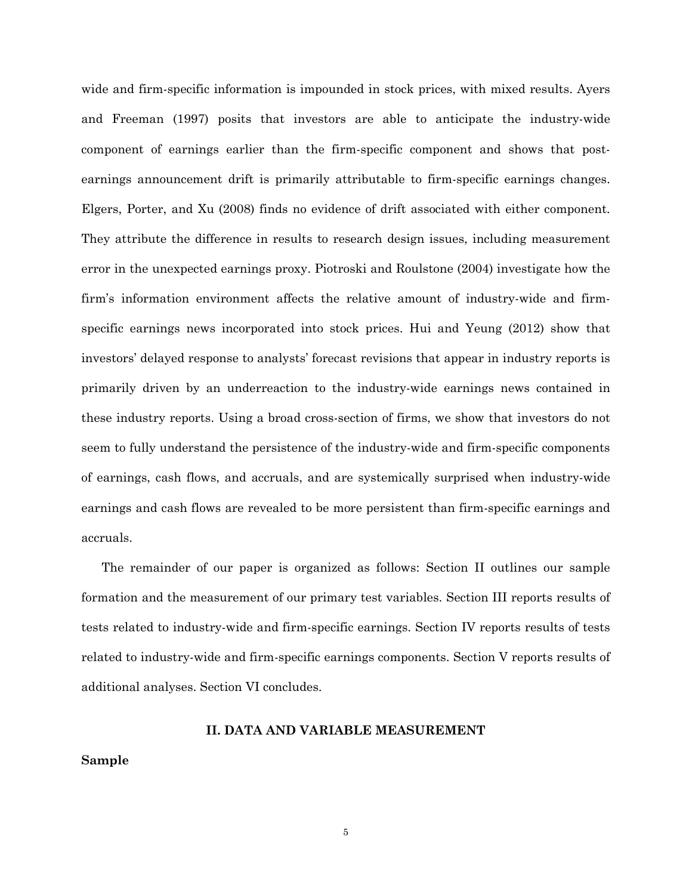wide and firm-specific information is impounded in stock prices, with mixed results. Ayers and Freeman (1997) posits that investors are able to anticipate the industry-wide component of earnings earlier than the firm-specific component and shows that postearnings announcement drift is primarily attributable to firm-specific earnings changes. Elgers, Porter, and Xu (2008) finds no evidence of drift associated with either component. They attribute the difference in results to research design issues, including measurement error in the unexpected earnings proxy. Piotroski and Roulstone (2004) investigate how the firm's information environment affects the relative amount of industry-wide and firmspecific earnings news incorporated into stock prices. Hui and Yeung (2012) show that investors' delayed response to analysts' forecast revisions that appear in industry reports is primarily driven by an underreaction to the industry-wide earnings news contained in these industry reports. Using a broad cross-section of firms, we show that investors do not seem to fully understand the persistence of the industry-wide and firm-specific components of earnings, cash flows, and accruals, and are systemically surprised when industry-wide earnings and cash flows are revealed to be more persistent than firm-specific earnings and accruals.

The remainder of our paper is organized as follows: Section II outlines our sample formation and the measurement of our primary test variables. Section III reports results of tests related to industry-wide and firm-specific earnings. Section IV reports results of tests related to industry-wide and firm-specific earnings components. Section V reports results of additional analyses. Section VI concludes.

#### **II. DATA AND VARIABLE MEASUREMENT**

# **Sample**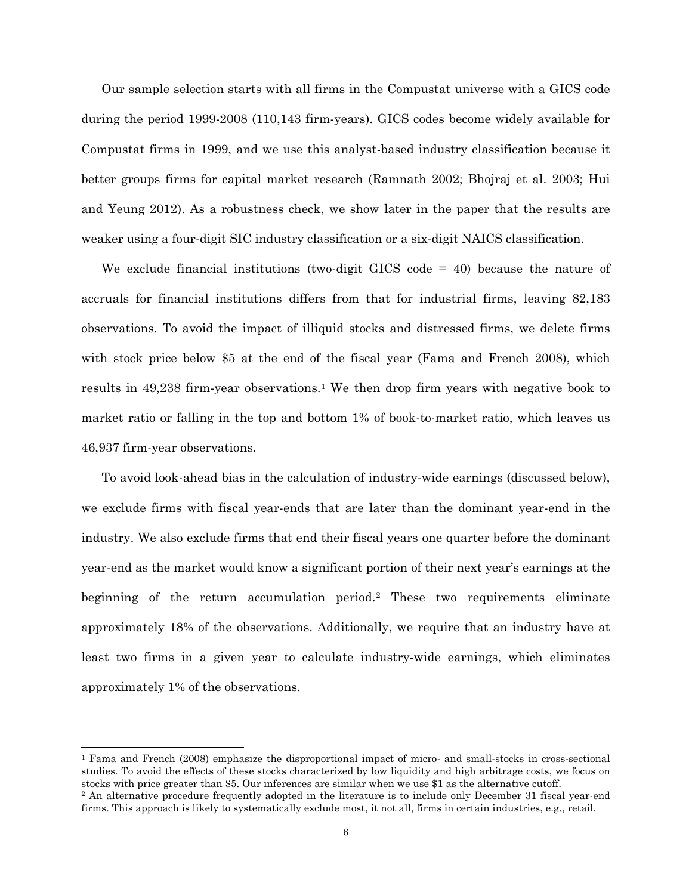Our sample selection starts with all firms in the Compustat universe with a GICS code during the period 1999-2008 (110,143 firm-years). GICS codes become widely available for Compustat firms in 1999, and we use this analyst-based industry classification because it better groups firms for capital market research (Ramnath 2002; Bhojraj et al. 2003; Hui and Yeung 2012). As a robustness check, we show later in the paper that the results are weaker using a four-digit SIC industry classification or a six-digit NAICS classification.

We exclude financial institutions (two-digit GICS code = 40) because the nature of accruals for financial institutions differs from that for industrial firms, leaving 82,183 observations. To avoid the impact of illiquid stocks and distressed firms, we delete firms with stock price below \$5 at the end of the fiscal year (Fama and French 2008), which results in 49,238 firm-year observations.[1](#page-6-0) We then drop firm years with negative book to market ratio or falling in the top and bottom 1% of book-to-market ratio, which leaves us 46,937 firm-year observations.

To avoid look-ahead bias in the calculation of industry-wide earnings (discussed below), we exclude firms with fiscal year-ends that are later than the dominant year-end in the industry. We also exclude firms that end their fiscal years one quarter before the dominant year-end as the market would know a significant portion of their next year's earnings at the beginning of the return accumulation period.[2](#page-6-1) These two requirements eliminate approximately 18% of the observations. Additionally, we require that an industry have at least two firms in a given year to calculate industry-wide earnings, which eliminates approximately 1% of the observations.

<span id="page-6-0"></span> <sup>1</sup> Fama and French (2008) emphasize the disproportional impact of micro- and small-stocks in cross-sectional studies. To avoid the effects of these stocks characterized by low liquidity and high arbitrage costs, we focus on stocks with price greater than \$5. Our inferences are similar when we use \$1 as the alternative cutoff.

<span id="page-6-1"></span><sup>2</sup> An alternative procedure frequently adopted in the literature is to include only December 31 fiscal year-end firms. This approach is likely to systematically exclude most, it not all, firms in certain industries, e.g., retail.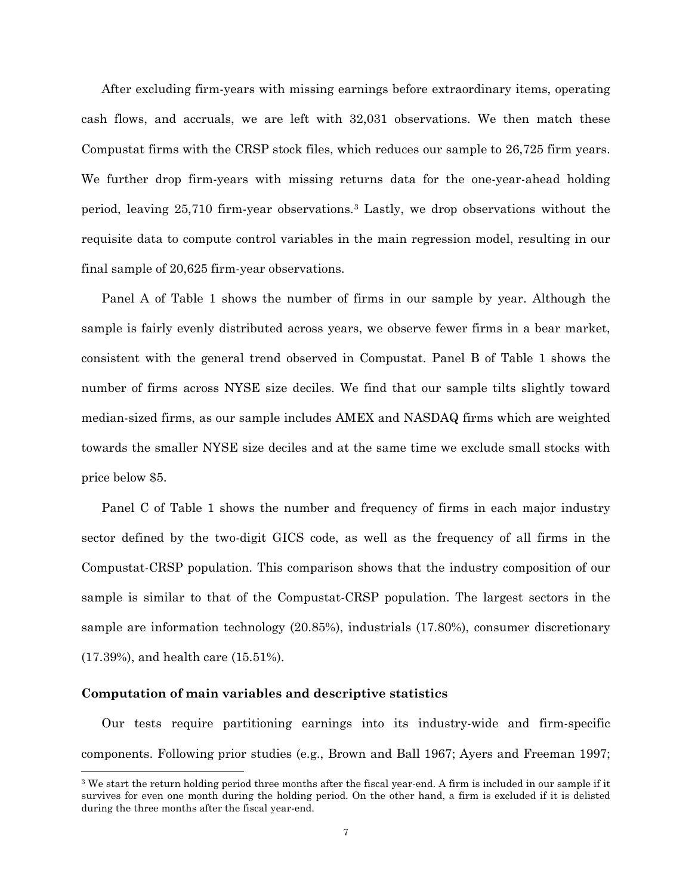After excluding firm-years with missing earnings before extraordinary items, operating cash flows, and accruals, we are left with 32,031 observations. We then match these Compustat firms with the CRSP stock files, which reduces our sample to 26,725 firm years. We further drop firm-years with missing returns data for the one-year-ahead holding period, leaving 25,710 firm-year observations.[3](#page-7-0) Lastly, we drop observations without the requisite data to compute control variables in the main regression model, resulting in our final sample of 20,625 firm-year observations.

Panel A of Table 1 shows the number of firms in our sample by year. Although the sample is fairly evenly distributed across years, we observe fewer firms in a bear market, consistent with the general trend observed in Compustat. Panel B of Table 1 shows the number of firms across NYSE size deciles. We find that our sample tilts slightly toward median-sized firms, as our sample includes AMEX and NASDAQ firms which are weighted towards the smaller NYSE size deciles and at the same time we exclude small stocks with price below \$5.

Panel C of Table 1 shows the number and frequency of firms in each major industry sector defined by the two-digit GICS code, as well as the frequency of all firms in the Compustat-CRSP population. This comparison shows that the industry composition of our sample is similar to that of the Compustat-CRSP population. The largest sectors in the sample are information technology (20.85%), industrials (17.80%), consumer discretionary (17.39%), and health care (15.51%).

#### **Computation of main variables and descriptive statistics**

Our tests require partitioning earnings into its industry-wide and firm-specific components. Following prior studies (e.g., Brown and Ball 1967; Ayers and Freeman 1997;

<span id="page-7-0"></span> <sup>3</sup> We start the return holding period three months after the fiscal year-end. A firm is included in our sample if it survives for even one month during the holding period. On the other hand, a firm is excluded if it is delisted during the three months after the fiscal year-end.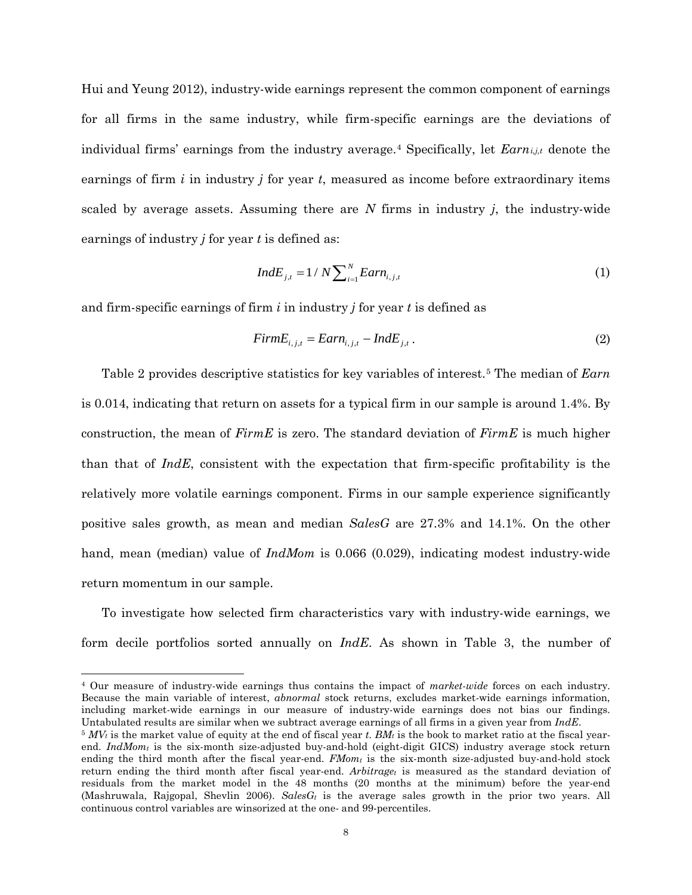Hui and Yeung 2012), industry-wide earnings represent the common component of earnings for all firms in the same industry, while firm-specific earnings are the deviations of individual firms' earnings from the industry average.[4](#page-8-0) Specifically, let *Earni,j,t* denote the earnings of firm *i* in industry *j* for year *t*, measured as income before extraordinary items scaled by average assets. Assuming there are *N* firms in industry *j*, the industry-wide earnings of industry *j* for year *t* is defined as:

$$
IndE_{j,t} = 1 / N \sum_{i=1}^{N} Earn_{i,j,t}
$$
 (1)

and firm-specific earnings of firm *i* in industry *j* for year *t* is defined as

$$
FirmE_{i,j,t} = Earn_{i,j,t} - IndE_{j,t}.
$$
\n(2)

Table 2 provides descriptive statistics for key variables of interest.[5](#page-8-1) The median of *Earn* is 0.014, indicating that return on assets for a typical firm in our sample is around 1.4%. By construction, the mean of *FirmE* is zero. The standard deviation of *FirmE* is much higher than that of *IndE*, consistent with the expectation that firm-specific profitability is the relatively more volatile earnings component. Firms in our sample experience significantly positive sales growth, as mean and median *SalesG* are 27.3% and 14.1%. On the other hand, mean (median) value of *IndMom* is 0.066 (0.029), indicating modest industry-wide return momentum in our sample.

To investigate how selected firm characteristics vary with industry-wide earnings, we form decile portfolios sorted annually on *IndE*. As shown in Table 3, the number of

<span id="page-8-0"></span> 4 Our measure of industry-wide earnings thus contains the impact of *market*-*wide* forces on each industry. Because the main variable of interest, *abnormal* stock returns, excludes market-wide earnings information, including market-wide earnings in our measure of industry-wide earnings does not bias our findings. Untabulated results are similar when we subtract average earnings of all firms in a given year from *IndE*.

<span id="page-8-1"></span> $5 MV_t$  is the market value of equity at the end of fiscal year *t*. *BM<sub>t</sub>* is the book to market ratio at the fiscal yearend. *IndMomt* is the six-month size-adjusted buy-and-hold (eight-digit GICS) industry average stock return ending the third month after the fiscal year-end.  $FMom<sub>t</sub>$  is the six-month size-adjusted buy-and-hold stock return ending the third month after fiscal year-end. *Arbitraget* is measured as the standard deviation of residuals from the market model in the 48 months (20 months at the minimum) before the year-end (Mashruwala, Rajgopal, Shevlin 2006). *SalesGt* is the average sales growth in the prior two years. All continuous control variables are winsorized at the one- and 99-percentiles.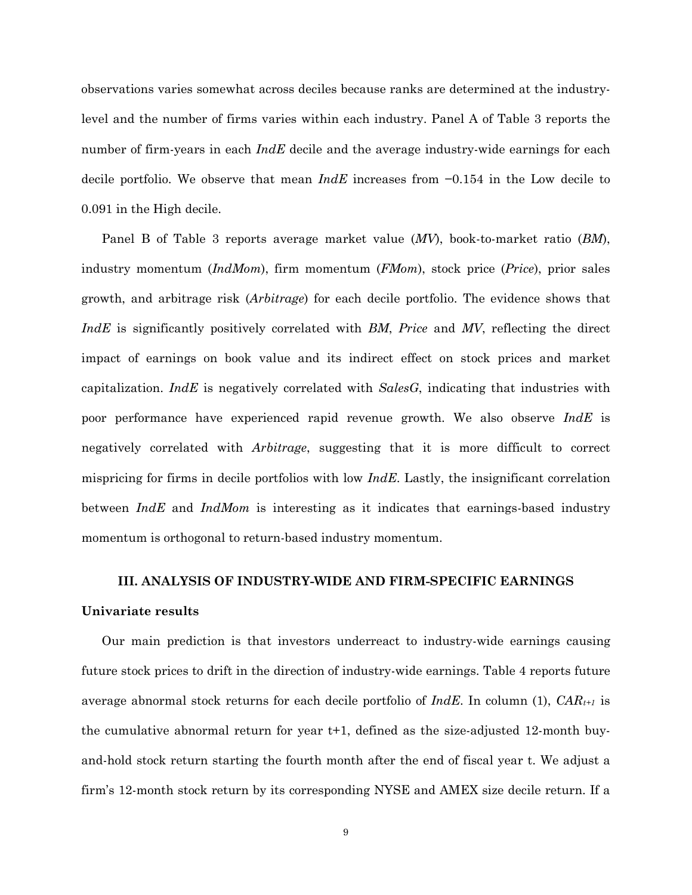observations varies somewhat across deciles because ranks are determined at the industrylevel and the number of firms varies within each industry. Panel A of Table 3 reports the number of firm-years in each *IndE* decile and the average industry-wide earnings for each decile portfolio. We observe that mean *IndE* increases from −0.154 in the Low decile to 0.091 in the High decile.

Panel B of Table 3 reports average market value (*MV*), book-to-market ratio (*BM*), industry momentum (*IndMom*), firm momentum (*FMom*), stock price (*Price*), prior sales growth, and arbitrage risk (*Arbitrage*) for each decile portfolio. The evidence shows that *IndE* is significantly positively correlated with *BM*, *Price* and *MV*, reflecting the direct impact of earnings on book value and its indirect effect on stock prices and market capitalization. *IndE* is negatively correlated with *SalesG*, indicating that industries with poor performance have experienced rapid revenue growth. We also observe *IndE* is negatively correlated with *Arbitrage*, suggesting that it is more difficult to correct mispricing for firms in decile portfolios with low *IndE*. Lastly, the insignificant correlation between *IndE* and *IndMom* is interesting as it indicates that earnings-based industry momentum is orthogonal to return-based industry momentum.

# **III. ANALYSIS OF INDUSTRY-WIDE AND FIRM-SPECIFIC EARNINGS**

#### **Univariate results**

Our main prediction is that investors underreact to industry-wide earnings causing future stock prices to drift in the direction of industry-wide earnings. Table 4 reports future average abnormal stock returns for each decile portfolio of *IndE*. In column (1), *CARt+1* is the cumulative abnormal return for year t+1, defined as the size-adjusted 12-month buyand-hold stock return starting the fourth month after the end of fiscal year t. We adjust a firm's 12-month stock return by its corresponding NYSE and AMEX size decile return. If a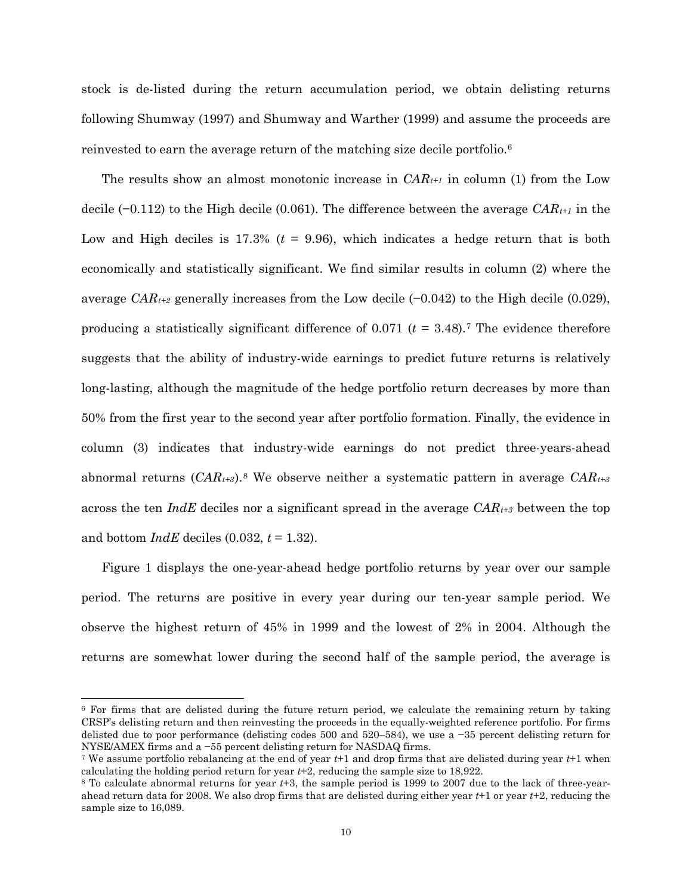stock is de-listed during the return accumulation period, we obtain delisting returns following Shumway (1997) and Shumway and Warther (1999) and assume the proceeds are reinvested to earn the average return of the matching size decile portfolio.<sup>[6](#page-10-0)</sup>

The results show an almost monotonic increase in  $CAR_{t+1}$  in column (1) from the Low decile (−0.112) to the High decile (0.061). The difference between the average *CARt+1* in the Low and High deciles is  $17.3\%$  ( $t = 9.96$ ), which indicates a hedge return that is both economically and statistically significant. We find similar results in column (2) where the average *CAR<sub>t+2</sub>* generally increases from the Low decile  $(-0.042)$  to the High decile  $(0.029)$ , producing a statistically significant difference of 0.0[7](#page-10-1)1  $(t = 3.48)$ .<sup>7</sup> The evidence therefore suggests that the ability of industry-wide earnings to predict future returns is relatively long-lasting, although the magnitude of the hedge portfolio return decreases by more than 50% from the first year to the second year after portfolio formation. Finally, the evidence in column (3) indicates that industry-wide earnings do not predict three-years-ahead abnormal returns  $(CAR_{t+3})$ .<sup>[8](#page-10-2)</sup> We observe neither a systematic pattern in average  $CAR_{t+3}$ across the ten *IndE* deciles nor a significant spread in the average  $CAR_{t+3}$  between the top and bottom *IndE* deciles (0.032, *t* = 1.32).

Figure 1 displays the one-year-ahead hedge portfolio returns by year over our sample period. The returns are positive in every year during our ten-year sample period. We observe the highest return of 45% in 1999 and the lowest of 2% in 2004. Although the returns are somewhat lower during the second half of the sample period, the average is

<span id="page-10-0"></span> <sup>6</sup> For firms that are delisted during the future return period, we calculate the remaining return by taking CRSP's delisting return and then reinvesting the proceeds in the equally-weighted reference portfolio. For firms delisted due to poor performance (delisting codes 500 and 520–584), we use a −35 percent delisting return for NYSE/AMEX firms and a −55 percent delisting return for NASDAQ firms.

<span id="page-10-1"></span><sup>7</sup> We assume portfolio rebalancing at the end of year *t*+1 and drop firms that are delisted during year *t*+1 when calculating the holding period return for year *t*+2, reducing the sample size to 18,922.

<span id="page-10-2"></span><sup>8</sup> To calculate abnormal returns for year *t*+3, the sample period is 1999 to 2007 due to the lack of three-yearahead return data for 2008. We also drop firms that are delisted during either year *t*+1 or year *t*+2, reducing the sample size to 16,089.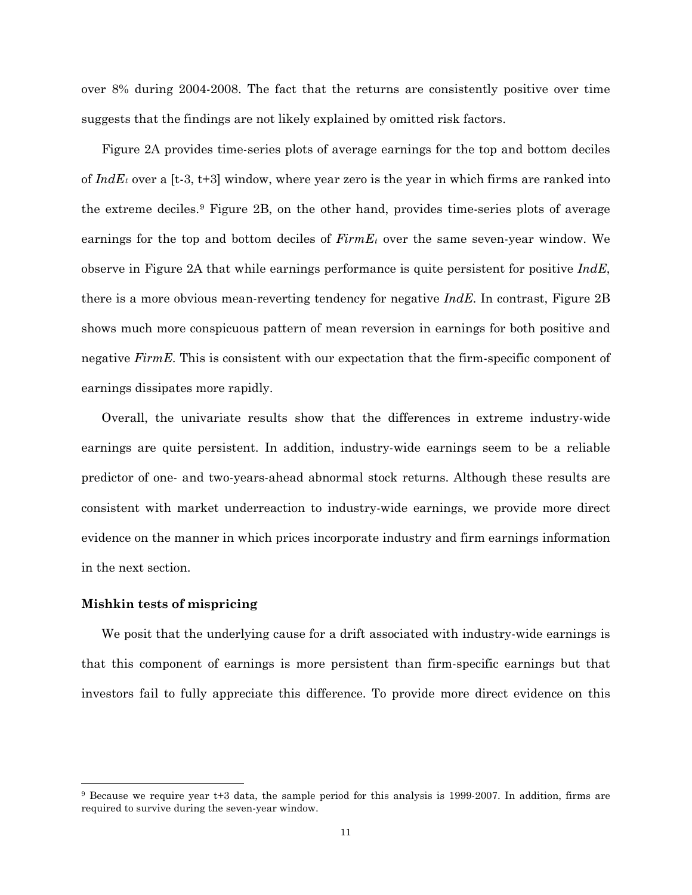over 8% during 2004-2008. The fact that the returns are consistently positive over time suggests that the findings are not likely explained by omitted risk factors.

Figure 2A provides time-series plots of average earnings for the top and bottom deciles of *IndEt* over a [t-3, t+3] window, where year zero is the year in which firms are ranked into the extreme deciles.[9](#page-11-0) Figure 2B, on the other hand, provides time-series plots of average earnings for the top and bottom deciles of *FirmEt* over the same seven-year window. We observe in Figure 2A that while earnings performance is quite persistent for positive *IndE*, there is a more obvious mean-reverting tendency for negative *IndE*. In contrast, Figure 2B shows much more conspicuous pattern of mean reversion in earnings for both positive and negative *FirmE*. This is consistent with our expectation that the firm-specific component of earnings dissipates more rapidly.

Overall, the univariate results show that the differences in extreme industry-wide earnings are quite persistent. In addition, industry-wide earnings seem to be a reliable predictor of one- and two-years-ahead abnormal stock returns. Although these results are consistent with market underreaction to industry-wide earnings, we provide more direct evidence on the manner in which prices incorporate industry and firm earnings information in the next section.

# **Mishkin tests of mispricing**

We posit that the underlying cause for a drift associated with industry-wide earnings is that this component of earnings is more persistent than firm-specific earnings but that investors fail to fully appreciate this difference. To provide more direct evidence on this

<span id="page-11-0"></span> <sup>9</sup> Because we require year t+3 data, the sample period for this analysis is 1999-2007. In addition, firms are required to survive during the seven-year window.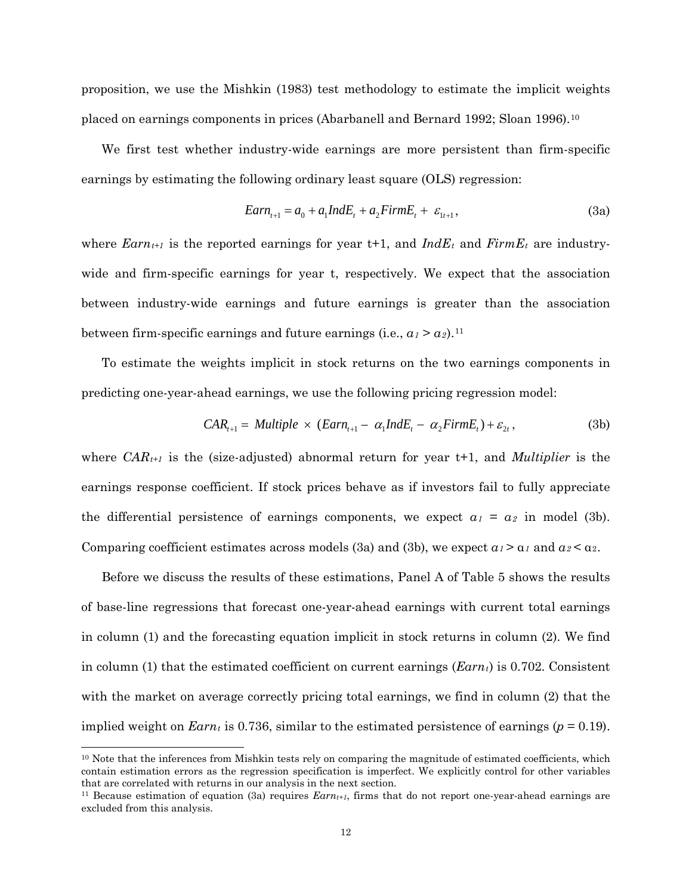proposition, we use the Mishkin (1983) test methodology to estimate the implicit weights placed on earnings components in prices (Abarbanell and Bernard 1992; Sloan 1996).[10](#page-12-0)

We first test whether industry-wide earnings are more persistent than firm-specific earnings by estimating the following ordinary least square (OLS) regression:

$$
Earn_{t+1} = a_0 + a_1 IndE_t + a_2 FirmE_t + \varepsilon_{1t+1},
$$
\n(3a)

where  $Earn_{t+1}$  is the reported earnings for year t+1, and  $IndE_t$  and  $FirmE_t$  are industrywide and firm-specific earnings for year t, respectively. We expect that the association between industry-wide earnings and future earnings is greater than the association between firm-specific earnings and future earnings (i.e.,  $a_1 > a_2$ ).<sup>[11](#page-12-1)</sup>

To estimate the weights implicit in stock returns on the two earnings components in predicting one-year-ahead earnings, we use the following pricing regression model:

$$
CAR_{t+1} = Multiple \times (Earn_{t+1} - \alpha_1 IndE_t - \alpha_2 FirmE_t) + \varepsilon_{2t},
$$
\n(3b)

where *CARt+1* is the (size-adjusted) abnormal return for year t+1, and *Multiplier* is the earnings response coefficient. If stock prices behave as if investors fail to fully appreciate the differential persistence of earnings components, we expect  $a_1 = a_2$  in model (3b). Comparing coefficient estimates across models (3a) and (3b), we expect  $a_1 > a_1$  and  $a_2 < a_2$ .

Before we discuss the results of these estimations, Panel A of Table 5 shows the results of base-line regressions that forecast one-year-ahead earnings with current total earnings in column (1) and the forecasting equation implicit in stock returns in column (2). We find in column (1) that the estimated coefficient on current earnings (*Earnt*) is 0.702. Consistent with the market on average correctly pricing total earnings, we find in column (2) that the implied weight on *Earnt* is 0.736, similar to the estimated persistence of earnings ( $p = 0.19$ ).

<span id="page-12-0"></span> <sup>10</sup> Note that the inferences from Mishkin tests rely on comparing the magnitude of estimated coefficients, which contain estimation errors as the regression specification is imperfect. We explicitly control for other variables that are correlated with returns in our analysis in the next section.

<span id="page-12-1"></span><sup>&</sup>lt;sup>11</sup> Because estimation of equation (3a) requires  $Earn_{t+1}$ , firms that do not report one-year-ahead earnings are excluded from this analysis.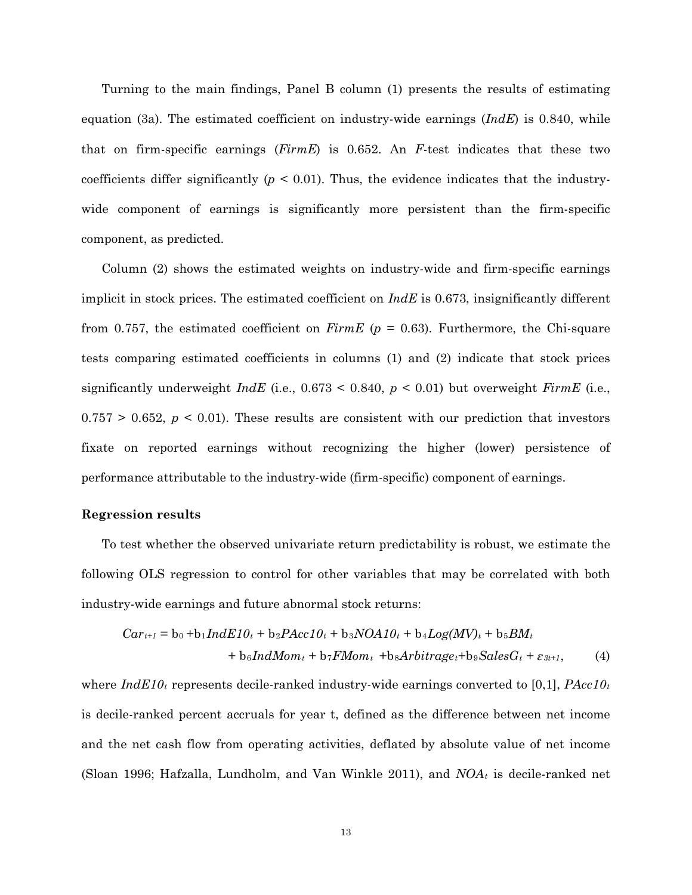Turning to the main findings, Panel B column (1) presents the results of estimating equation (3a). The estimated coefficient on industry-wide earnings (*IndE*) is 0.840, while that on firm-specific earnings (*FirmE*) is 0.652. An *F*-test indicates that these two coefficients differ significantly  $(p < 0.01)$ . Thus, the evidence indicates that the industrywide component of earnings is significantly more persistent than the firm-specific component, as predicted.

Column (2) shows the estimated weights on industry-wide and firm-specific earnings implicit in stock prices. The estimated coefficient on *IndE* is 0.673, insignificantly different from 0.757, the estimated coefficient on  $FirmE$  ( $p = 0.63$ ). Furthermore, the Chi-square tests comparing estimated coefficients in columns (1) and (2) indicate that stock prices significantly underweight *IndE* (i.e., 0.673 < 0.840, *p* < 0.01) but overweight *FirmE* (i.e.,  $0.757 > 0.652$ ,  $p < 0.01$ ). These results are consistent with our prediction that investors fixate on reported earnings without recognizing the higher (lower) persistence of performance attributable to the industry-wide (firm-specific) component of earnings.

#### **Regression results**

To test whether the observed univariate return predictability is robust, we estimate the following OLS regression to control for other variables that may be correlated with both industry-wide earnings and future abnormal stock returns:

$$
Cart+1 = b0 + b1 IndE10t + b2 PAcc10t + b3 NOA10t + b4 Log(MV)t + b5BMt
$$
  
+ b<sub>6</sub>IndMom<sub>t</sub> + b<sub>7</sub> FMom<sub>t</sub> + b<sub>8</sub>Arbitrage<sub>t</sub>+b<sub>9</sub>SalesG<sub>t</sub> + \varepsilon<sub>3t+1</sub>, (4)

where *IndE10<sub>t</sub>* represents decile-ranked industry-wide earnings converted to [0,1], *PAcc10<sub>t</sub>* is decile-ranked percent accruals for year t, defined as the difference between net income and the net cash flow from operating activities, deflated by absolute value of net income (Sloan 1996; Hafzalla, Lundholm, and Van Winkle 2011), and *NOAt* is decile-ranked net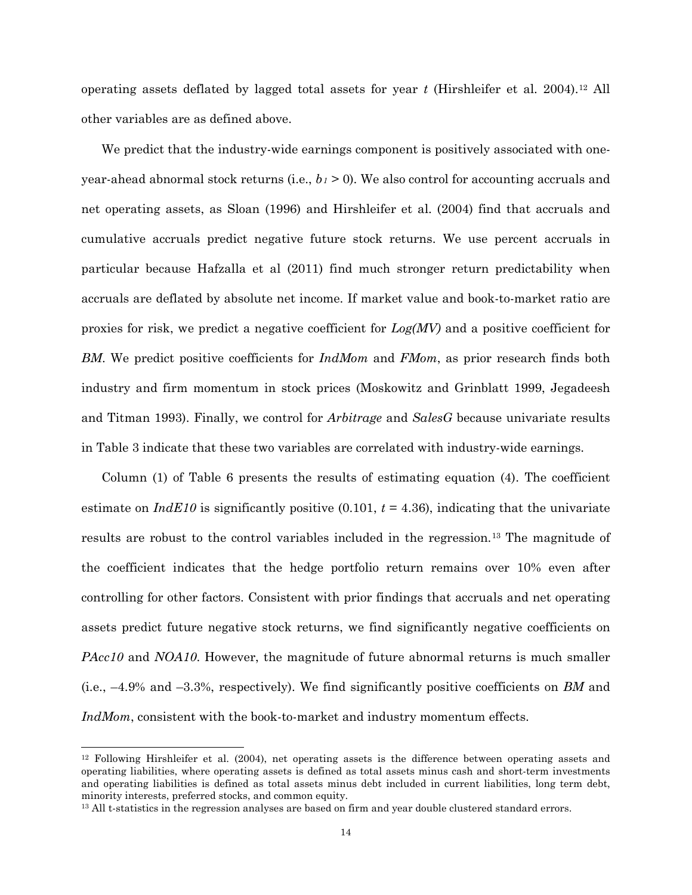operating assets deflated by lagged total assets for year *t* (Hirshleifer et al. 2004).[12](#page-14-0) All other variables are as defined above.

We predict that the industry-wide earnings component is positively associated with oneyear-ahead abnormal stock returns (i.e.,  $b_1 \ge 0$ ). We also control for accounting accruals and net operating assets, as Sloan (1996) and Hirshleifer et al. (2004) find that accruals and cumulative accruals predict negative future stock returns. We use percent accruals in particular because Hafzalla et al (2011) find much stronger return predictability when accruals are deflated by absolute net income. If market value and book-to-market ratio are proxies for risk, we predict a negative coefficient for *Log(MV)* and a positive coefficient for *BM*. We predict positive coefficients for *IndMom* and *FMom*, as prior research finds both industry and firm momentum in stock prices (Moskowitz and Grinblatt 1999, Jegadeesh and Titman 1993). Finally, we control for *Arbitrage* and *SalesG* because univariate results in Table 3 indicate that these two variables are correlated with industry-wide earnings.

Column (1) of Table 6 presents the results of estimating equation (4). The coefficient estimate on  $IndE10$  is significantly positive  $(0.101, t = 4.36)$ , indicating that the univariate results are robust to the control variables included in the regression.[13](#page-14-1) The magnitude of the coefficient indicates that the hedge portfolio return remains over 10% even after controlling for other factors. Consistent with prior findings that accruals and net operating assets predict future negative stock returns, we find significantly negative coefficients on *PAcc10* and *NOA10*. However, the magnitude of future abnormal returns is much smaller (i.e., –4.9% and –3.3%, respectively). We find significantly positive coefficients on *BM* and *IndMom*, consistent with the book-to-market and industry momentum effects.

<span id="page-14-0"></span> <sup>12</sup> Following Hirshleifer et al. (2004), net operating assets is the difference between operating assets and operating liabilities, where operating assets is defined as total assets minus cash and short-term investments and operating liabilities is defined as total assets minus debt included in current liabilities, long term debt, minority interests, preferred stocks, and common equity.

<span id="page-14-1"></span><sup>&</sup>lt;sup>13</sup> All t-statistics in the regression analyses are based on firm and year double clustered standard errors.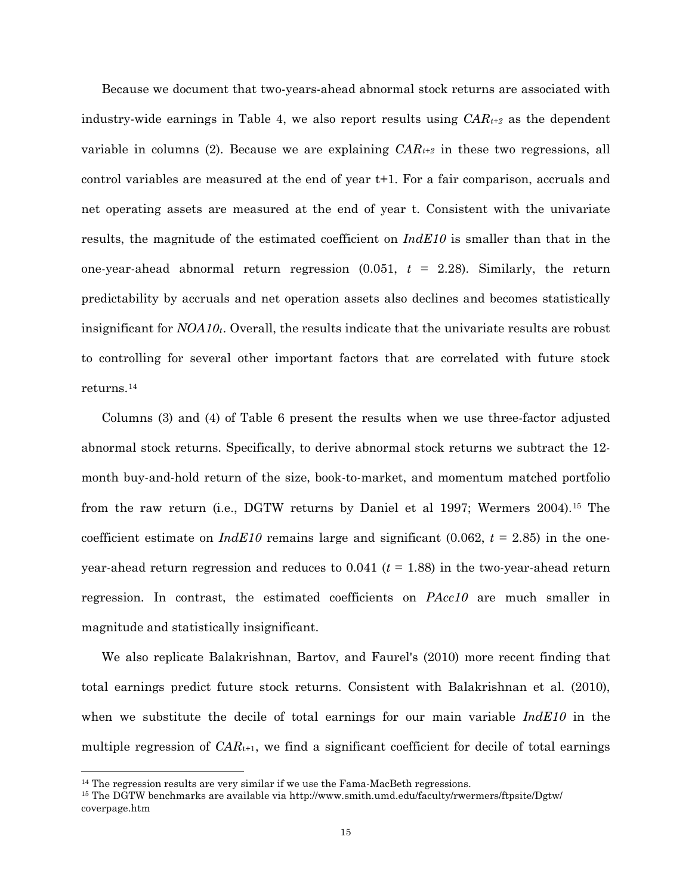Because we document that two-years-ahead abnormal stock returns are associated with industry-wide earnings in Table 4, we also report results using *CARt+2* as the dependent variable in columns (2). Because we are explaining *CARt+2* in these two regressions, all control variables are measured at the end of year t+1. For a fair comparison, accruals and net operating assets are measured at the end of year t. Consistent with the univariate results, the magnitude of the estimated coefficient on *IndE10* is smaller than that in the one-year-ahead abnormal return regression (0.051, *t* = 2.28). Similarly, the return predictability by accruals and net operation assets also declines and becomes statistically insignificant for *NOA10t*. Overall, the results indicate that the univariate results are robust to controlling for several other important factors that are correlated with future stock returns.[14](#page-15-0)

Columns (3) and (4) of Table 6 present the results when we use three-factor adjusted abnormal stock returns. Specifically, to derive abnormal stock returns we subtract the 12 month buy-and-hold return of the size, book-to-market, and momentum matched portfolio from the raw return (i.e., DGTW returns by Daniel et al 1997; Wermers 2004).[15](#page-15-1) The coefficient estimate on  $IndE10$  remains large and significant (0.062,  $t = 2.85$ ) in the oneyear-ahead return regression and reduces to  $0.041$  ( $t = 1.88$ ) in the two-year-ahead return regression. In contrast, the estimated coefficients on *PAcc10* are much smaller in magnitude and statistically insignificant.

We also replicate Balakrishnan, Bartov, and Faurel's (2010) more recent finding that total earnings predict future stock returns. Consistent with Balakrishnan et al. (2010), when we substitute the decile of total earnings for our main variable *IndE10* in the multiple regression of  $CAR_{t+1}$ , we find a significant coefficient for decile of total earnings

<span id="page-15-0"></span><sup>&</sup>lt;sup>14</sup> The regression results are very similar if we use the Fama-MacBeth regressions.

<span id="page-15-1"></span><sup>15</sup> The DGTW benchmarks are available via http://www.smith.umd.edu/faculty/rwermers/ftpsite/Dgtw/ coverpage.htm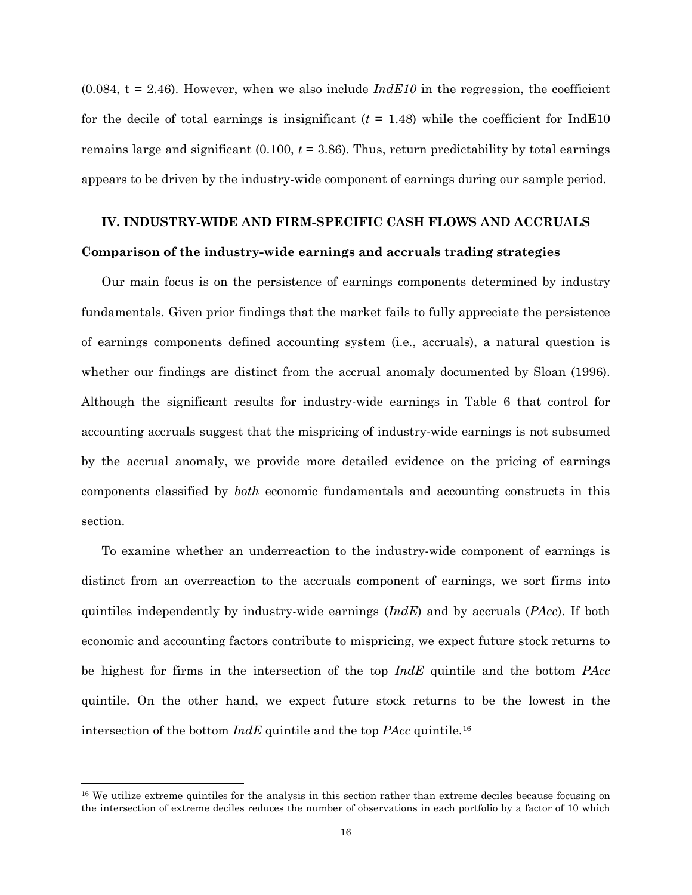$(0.084, t = 2.46)$ . However, when we also include  $IndE10$  in the regression, the coefficient for the decile of total earnings is insignificant  $(t = 1.48)$  while the coefficient for IndE10 remains large and significant  $(0.100, t = 3.86)$ . Thus, return predictability by total earnings appears to be driven by the industry-wide component of earnings during our sample period.

# **IV. INDUSTRY-WIDE AND FIRM-SPECIFIC CASH FLOWS AND ACCRUALS Comparison of the industry-wide earnings and accruals trading strategies**

Our main focus is on the persistence of earnings components determined by industry fundamentals. Given prior findings that the market fails to fully appreciate the persistence of earnings components defined accounting system (i.e., accruals), a natural question is whether our findings are distinct from the accrual anomaly documented by Sloan (1996). Although the significant results for industry-wide earnings in Table 6 that control for accounting accruals suggest that the mispricing of industry-wide earnings is not subsumed by the accrual anomaly, we provide more detailed evidence on the pricing of earnings components classified by *both* economic fundamentals and accounting constructs in this section.

To examine whether an underreaction to the industry-wide component of earnings is distinct from an overreaction to the accruals component of earnings, we sort firms into quintiles independently by industry-wide earnings (*IndE*) and by accruals (*PAcc*). If both economic and accounting factors contribute to mispricing, we expect future stock returns to be highest for firms in the intersection of the top *IndE* quintile and the bottom *PAcc* quintile. On the other hand, we expect future stock returns to be the lowest in the intersection of the bottom *IndE* quintile and the top *PAcc* quintile[.16](#page-16-0)

<span id="page-16-0"></span><sup>&</sup>lt;sup>16</sup> We utilize extreme quintiles for the analysis in this section rather than extreme deciles because focusing on the intersection of extreme deciles reduces the number of observations in each portfolio by a factor of 10 which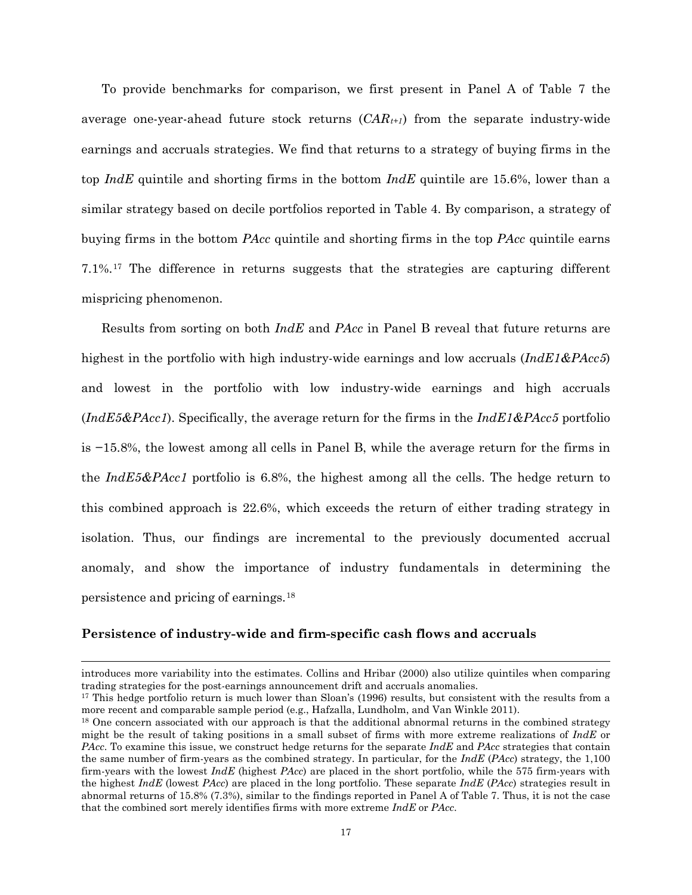To provide benchmarks for comparison, we first present in Panel A of Table 7 the average one-year-ahead future stock returns (*CARt+1*) from the separate industry-wide earnings and accruals strategies. We find that returns to a strategy of buying firms in the top *IndE* quintile and shorting firms in the bottom *IndE* quintile are 15.6%, lower than a similar strategy based on decile portfolios reported in Table 4. By comparison, a strategy of buying firms in the bottom *PAcc* quintile and shorting firms in the top *PAcc* quintile earns 7.1%.[17](#page-17-0) The difference in returns suggests that the strategies are capturing different mispricing phenomenon.

Results from sorting on both *IndE* and *PAcc* in Panel B reveal that future returns are highest in the portfolio with high industry-wide earnings and low accruals (*IndE1&PAcc5*) and lowest in the portfolio with low industry-wide earnings and high accruals (*IndE5&PAcc1*). Specifically, the average return for the firms in the *IndE1&PAcc5* portfolio is −15.8%, the lowest among all cells in Panel B, while the average return for the firms in the *IndE5&PAcc1* portfolio is 6.8%, the highest among all the cells. The hedge return to this combined approach is 22.6%, which exceeds the return of either trading strategy in isolation. Thus, our findings are incremental to the previously documented accrual anomaly, and show the importance of industry fundamentals in determining the persistence and pricing of earnings.[18](#page-17-1)

#### **Persistence of industry-wide and firm-specific cash flows and accruals**

 $\overline{a}$ 

introduces more variability into the estimates. Collins and Hribar (2000) also utilize quintiles when comparing trading strategies for the post-earnings announcement drift and accruals anomalies.

<span id="page-17-0"></span><sup>&</sup>lt;sup>17</sup> This hedge portfolio return is much lower than Sloan's (1996) results, but consistent with the results from a more recent and comparable sample period (e.g., Hafzalla, Lundholm, and Van Winkle 2011).

<span id="page-17-1"></span><sup>&</sup>lt;sup>18</sup> One concern associated with our approach is that the additional abnormal returns in the combined strategy might be the result of taking positions in a small subset of firms with more extreme realizations of *IndE* or *PAcc*. To examine this issue, we construct hedge returns for the separate *IndE* and *PAcc* strategies that contain the same number of firm-years as the combined strategy. In particular, for the *IndE* (*PAcc*) strategy, the 1,100 firm-years with the lowest *IndE* (highest *PAcc*) are placed in the short portfolio, while the 575 firm-years with the highest *IndE* (lowest *PAcc*) are placed in the long portfolio. These separate *IndE* (*PAcc*) strategies result in abnormal returns of 15.8% (7.3%), similar to the findings reported in Panel A of Table 7. Thus, it is not the case that the combined sort merely identifies firms with more extreme *IndE* or *PAcc*.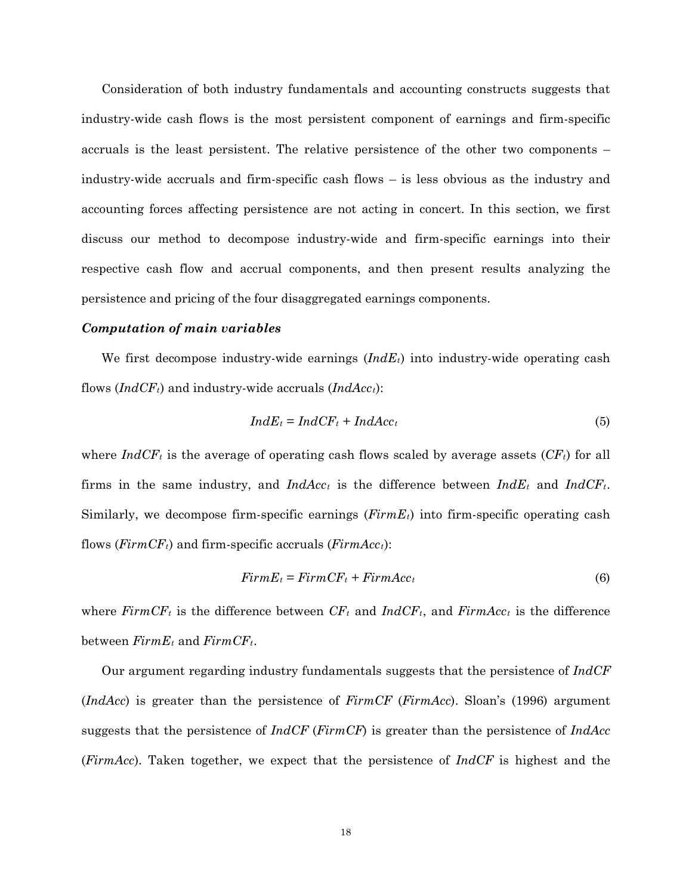Consideration of both industry fundamentals and accounting constructs suggests that industry-wide cash flows is the most persistent component of earnings and firm-specific accruals is the least persistent. The relative persistence of the other two components – industry-wide accruals and firm-specific cash flows – is less obvious as the industry and accounting forces affecting persistence are not acting in concert. In this section, we first discuss our method to decompose industry-wide and firm-specific earnings into their respective cash flow and accrual components, and then present results analyzing the persistence and pricing of the four disaggregated earnings components.

### *Computation of main variables*

We first decompose industry-wide earnings (*IndEt*) into industry-wide operating cash flows  $(IndCF<sub>t</sub>)$  and industry-wide accruals  $(IndAcc<sub>t</sub>)$ :

$$
IndE_t = IndCF_t + IndAcc_t \tag{5}
$$

where  $IndCF<sub>t</sub>$  is the average of operating cash flows scaled by average assets  $(CF<sub>t</sub>)$  for all firms in the same industry, and  $IndAcc_t$  is the difference between  $IndEt_t$  and  $IndCF_t$ . Similarly, we decompose firm-specific earnings (*FirmEt*) into firm-specific operating cash flows (*FirmCFt*) and firm-specific accruals (*FirmAcct*):

$$
FirmE_t = FirmCF_t + FirmAcc_t \tag{6}
$$

where  $F_{i}$  *FirmCF<sub>t</sub>* is the difference between  $CF_{t}$  and  $IndCF_{t}$ , and  $F_{i}$ *rmAcc<sub>t</sub>* is the difference between  $FirmE_t$  and  $FirmCF_t$ .

Our argument regarding industry fundamentals suggests that the persistence of *IndCF* (*IndAcc*) is greater than the persistence of *FirmCF* (*FirmAcc*). Sloan's (1996) argument suggests that the persistence of *IndCF* (*FirmCF*) is greater than the persistence of *IndAcc* (*FirmAcc*). Taken together, we expect that the persistence of *IndCF* is highest and the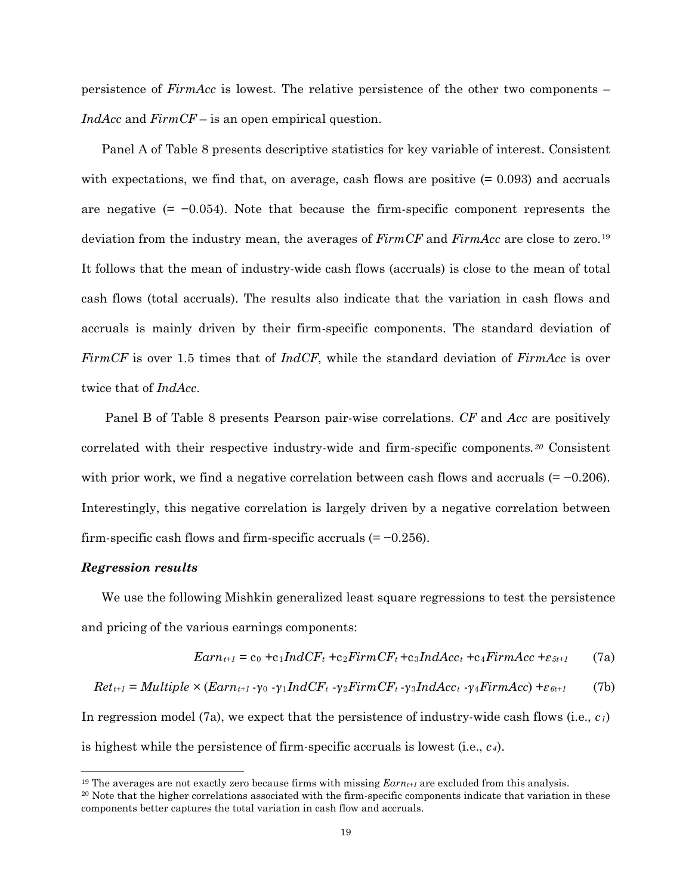persistence of *FirmAcc* is lowest. The relative persistence of the other two components – *IndAcc* and *FirmCF* – is an open empirical question.

Panel A of Table 8 presents descriptive statistics for key variable of interest. Consistent with expectations, we find that, on average, cash flows are positive  $(= 0.093)$  and accruals are negative  $(= -0.054)$ . Note that because the firm-specific component represents the deviation from the industry mean, the averages of *FirmCF* and *FirmAcc* are close to zero.[19](#page-19-0) It follows that the mean of industry-wide cash flows (accruals) is close to the mean of total cash flows (total accruals). The results also indicate that the variation in cash flows and accruals is mainly driven by their firm-specific components. The standard deviation of *FirmCF* is over 1.5 times that of *IndCF*, while the standard deviation of *FirmAcc* is over twice that of *IndAcc*.

Panel B of Table 8 presents Pearson pair-wise correlations. *CF* and *Acc* are positively correlated with their respective industry-wide and firm-specific components*.[20](#page-19-1)* Consistent with prior work, we find a negative correlation between cash flows and accruals (= −0.206). Interestingly, this negative correlation is largely driven by a negative correlation between firm-specific cash flows and firm-specific accruals  $(= -0.256)$ .

#### *Regression results*

We use the following Mishkin generalized least square regressions to test the persistence and pricing of the various earnings components:

$$
Earn_{t+1} = c_0 + c_1 IndCF_t + c_2 FirmCF_t + c_3 IndAcc_t + c_4 FirmAcc + \varepsilon_{5t+1}
$$
 (7a)

$$
Ret_{t+1} = Multiple \times (Earn_{t+1} - \gamma_0 - \gamma_1 IndCF_t - \gamma_2 FirmCF_t - \gamma_3 IndAcc_t - \gamma_4 FirmAcc) + \varepsilon_{6t+1}
$$
 (7b)

In regression model (7a), we expect that the persistence of industry-wide cash flows (i.e., *c1*) is highest while the persistence of firm-specific accruals is lowest (i.e., *c4*).

<span id="page-19-0"></span> <sup>19</sup> The averages are not exactly zero because firms with missing *Earnt+1* are excluded from this analysis.

<span id="page-19-1"></span><sup>&</sup>lt;sup>20</sup> Note that the higher correlations associated with the firm-specific components indicate that variation in these components better captures the total variation in cash flow and accruals.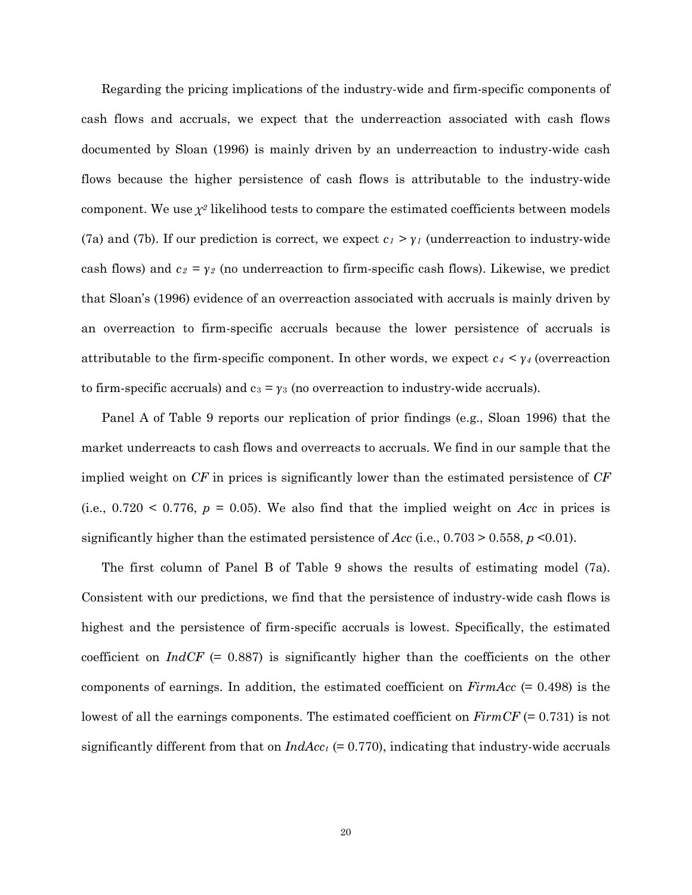Regarding the pricing implications of the industry-wide and firm-specific components of cash flows and accruals, we expect that the underreaction associated with cash flows documented by Sloan (1996) is mainly driven by an underreaction to industry-wide cash flows because the higher persistence of cash flows is attributable to the industry-wide component. We use  $\chi^2$  likelihood tests to compare the estimated coefficients between models (7a) and (7b). If our prediction is correct, we expect  $c_1 > \gamma_i$  (underreaction to industry-wide cash flows) and  $c_2 = \gamma_2$  (no underreaction to firm-specific cash flows). Likewise, we predict that Sloan's (1996) evidence of an overreaction associated with accruals is mainly driven by an overreaction to firm-specific accruals because the lower persistence of accruals is attributable to the firm-specific component. In other words, we expect *c4 < γ<sup>4</sup>* (overreaction to firm-specific accruals) and  $c_3 = \gamma_3$  (no overreaction to industry-wide accruals).

Panel A of Table 9 reports our replication of prior findings (e.g., Sloan 1996) that the market underreacts to cash flows and overreacts to accruals. We find in our sample that the implied weight on *CF* in prices is significantly lower than the estimated persistence of *CF* (i.e.,  $0.720 \leq 0.776$ ,  $p = 0.05$ ). We also find that the implied weight on *Acc* in prices is significantly higher than the estimated persistence of *Acc* (i.e., 0.703 > 0.558, *p* <0.01).

The first column of Panel B of Table 9 shows the results of estimating model (7a). Consistent with our predictions, we find that the persistence of industry-wide cash flows is highest and the persistence of firm-specific accruals is lowest. Specifically, the estimated coefficient on *IndCF* (= 0.887) is significantly higher than the coefficients on the other components of earnings. In addition, the estimated coefficient on *FirmAcc* (= 0.498) is the lowest of all the earnings components. The estimated coefficient on *FirmCF* (= 0.731) is not significantly different from that on  $IndAcc_t$  (= 0.770), indicating that industry-wide accruals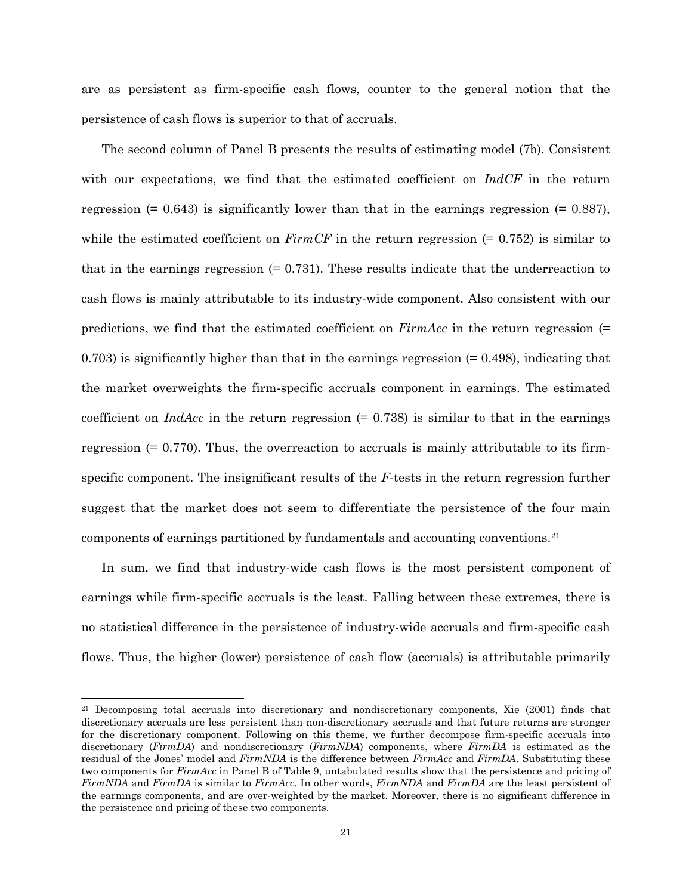are as persistent as firm-specific cash flows, counter to the general notion that the persistence of cash flows is superior to that of accruals.

The second column of Panel B presents the results of estimating model (7b). Consistent with our expectations, we find that the estimated coefficient on *IndCF* in the return regression  $(= 0.643)$  is significantly lower than that in the earnings regression  $(= 0.887)$ , while the estimated coefficient on  $FirmCF$  in the return regression  $(= 0.752)$  is similar to that in the earnings regression  $(= 0.731)$ . These results indicate that the underreaction to cash flows is mainly attributable to its industry-wide component. Also consistent with our predictions, we find that the estimated coefficient on *FirmAcc* in the return regression (=  $0.703$ ) is significantly higher than that in the earnings regression  $(= 0.498)$ , indicating that the market overweights the firm-specific accruals component in earnings. The estimated coefficient on  $IndAcc$  in the return regression  $(= 0.738)$  is similar to that in the earnings regression  $(= 0.770)$ . Thus, the overreaction to accruals is mainly attributable to its firmspecific component. The insignificant results of the *F*-tests in the return regression further suggest that the market does not seem to differentiate the persistence of the four main components of earnings partitioned by fundamentals and accounting conventions.[21](#page-21-0)

In sum, we find that industry-wide cash flows is the most persistent component of earnings while firm-specific accruals is the least. Falling between these extremes, there is no statistical difference in the persistence of industry-wide accruals and firm-specific cash flows. Thus, the higher (lower) persistence of cash flow (accruals) is attributable primarily

<span id="page-21-0"></span> <sup>21</sup> Decomposing total accruals into discretionary and nondiscretionary components, Xie (2001) finds that discretionary accruals are less persistent than non-discretionary accruals and that future returns are stronger for the discretionary component. Following on this theme, we further decompose firm-specific accruals into discretionary (*FirmDA*) and nondiscretionary (*FirmNDA*) components, where *FirmDA* is estimated as the residual of the Jones' model and *FirmNDA* is the difference between *FirmAcc* and *FirmDA*. Substituting these two components for *FirmAcc* in Panel B of Table 9, untabulated results show that the persistence and pricing of *FirmNDA* and *FirmDA* is similar to *FirmAcc*. In other words, *FirmNDA* and *FirmDA* are the least persistent of the earnings components, and are over-weighted by the market. Moreover, there is no significant difference in the persistence and pricing of these two components.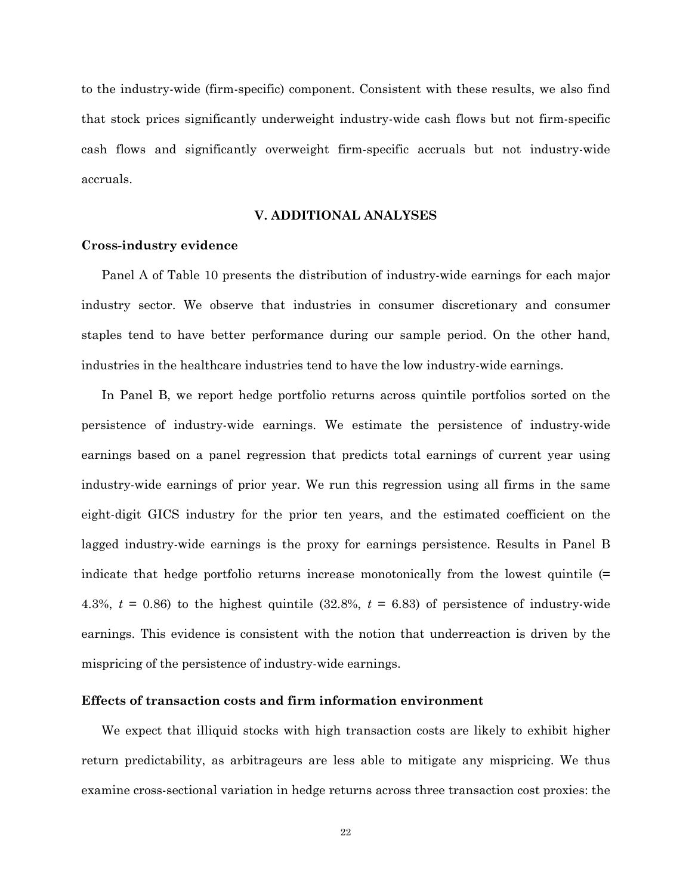to the industry-wide (firm-specific) component. Consistent with these results, we also find that stock prices significantly underweight industry-wide cash flows but not firm-specific cash flows and significantly overweight firm-specific accruals but not industry-wide accruals.

#### **V. ADDITIONAL ANALYSES**

#### **Cross-industry evidence**

Panel A of Table 10 presents the distribution of industry-wide earnings for each major industry sector. We observe that industries in consumer discretionary and consumer staples tend to have better performance during our sample period. On the other hand, industries in the healthcare industries tend to have the low industry-wide earnings.

In Panel B, we report hedge portfolio returns across quintile portfolios sorted on the persistence of industry-wide earnings. We estimate the persistence of industry-wide earnings based on a panel regression that predicts total earnings of current year using industry-wide earnings of prior year. We run this regression using all firms in the same eight-digit GICS industry for the prior ten years, and the estimated coefficient on the lagged industry-wide earnings is the proxy for earnings persistence. Results in Panel B indicate that hedge portfolio returns increase monotonically from the lowest quintile (= 4.3%,  $t = 0.86$ ) to the highest quintile  $(32.8\%$ ,  $t = 6.83$ ) of persistence of industry-wide earnings. This evidence is consistent with the notion that underreaction is driven by the mispricing of the persistence of industry-wide earnings.

## **Effects of transaction costs and firm information environment**

We expect that illiquid stocks with high transaction costs are likely to exhibit higher return predictability, as arbitrageurs are less able to mitigate any mispricing. We thus examine cross-sectional variation in hedge returns across three transaction cost proxies: the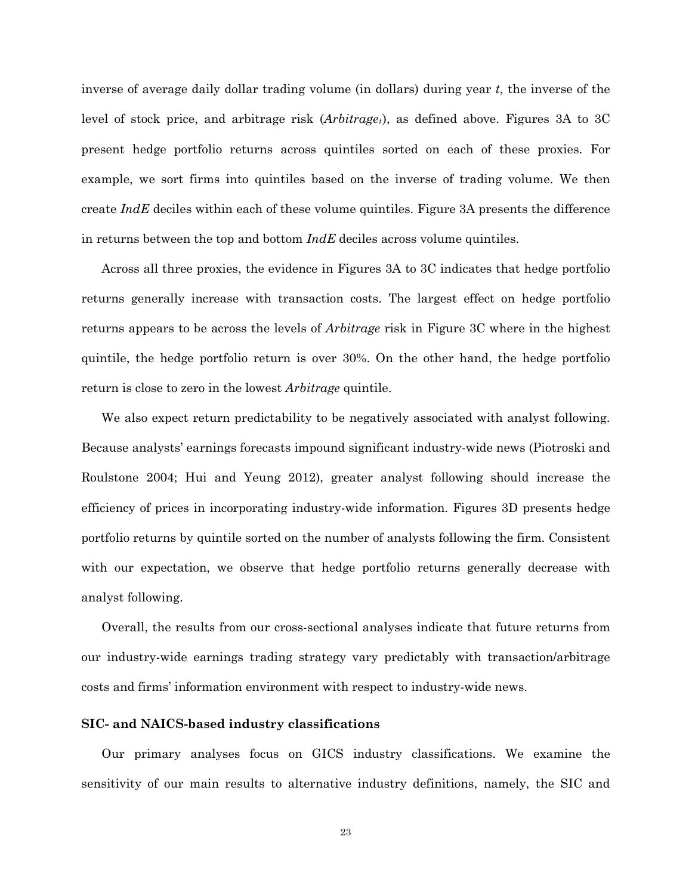inverse of average daily dollar trading volume (in dollars) during year *t*, the inverse of the level of stock price, and arbitrage risk (*Arbitraget*), as defined above. Figures 3A to 3C present hedge portfolio returns across quintiles sorted on each of these proxies. For example, we sort firms into quintiles based on the inverse of trading volume. We then create *IndE* deciles within each of these volume quintiles. Figure 3A presents the difference in returns between the top and bottom *IndE* deciles across volume quintiles.

Across all three proxies, the evidence in Figures 3A to 3C indicates that hedge portfolio returns generally increase with transaction costs. The largest effect on hedge portfolio returns appears to be across the levels of *Arbitrage* risk in Figure 3C where in the highest quintile, the hedge portfolio return is over 30%. On the other hand, the hedge portfolio return is close to zero in the lowest *Arbitrage* quintile.

We also expect return predictability to be negatively associated with analyst following. Because analysts' earnings forecasts impound significant industry-wide news (Piotroski and Roulstone 2004; Hui and Yeung 2012), greater analyst following should increase the efficiency of prices in incorporating industry-wide information. Figures 3D presents hedge portfolio returns by quintile sorted on the number of analysts following the firm. Consistent with our expectation, we observe that hedge portfolio returns generally decrease with analyst following.

Overall, the results from our cross-sectional analyses indicate that future returns from our industry-wide earnings trading strategy vary predictably with transaction/arbitrage costs and firms' information environment with respect to industry-wide news.

#### **SIC- and NAICS-based industry classifications**

Our primary analyses focus on GICS industry classifications. We examine the sensitivity of our main results to alternative industry definitions, namely, the SIC and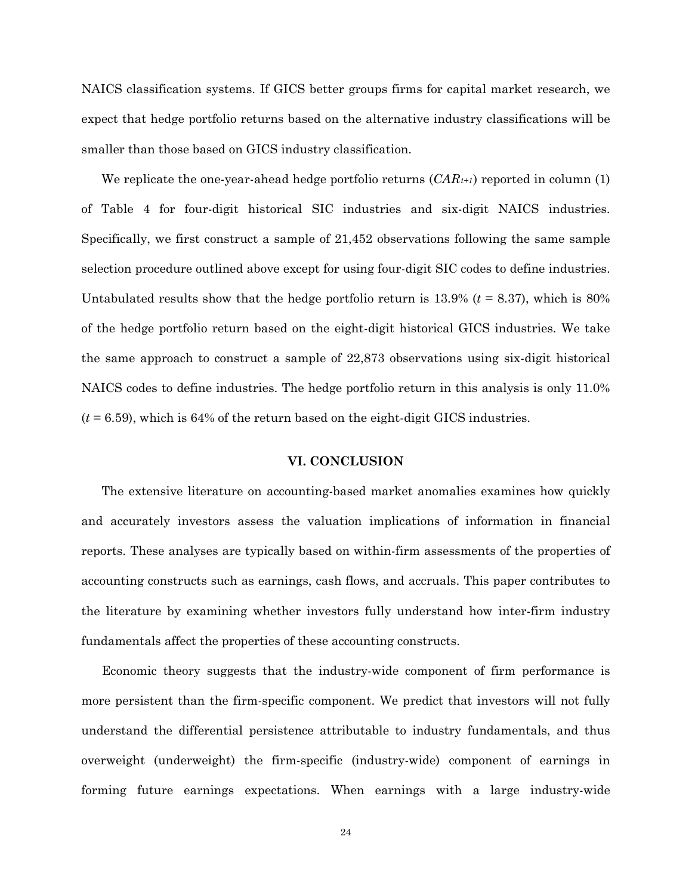NAICS classification systems. If GICS better groups firms for capital market research, we expect that hedge portfolio returns based on the alternative industry classifications will be smaller than those based on GICS industry classification.

We replicate the one-year-ahead hedge portfolio returns  $(CAR_{t+1})$  reported in column (1) of Table 4 for four-digit historical SIC industries and six-digit NAICS industries. Specifically, we first construct a sample of 21,452 observations following the same sample selection procedure outlined above except for using four-digit SIC codes to define industries. Untabulated results show that the hedge portfolio return is 13.9% (*t* = 8.37), which is 80% of the hedge portfolio return based on the eight-digit historical GICS industries. We take the same approach to construct a sample of 22,873 observations using six-digit historical NAICS codes to define industries. The hedge portfolio return in this analysis is only 11.0% (*t* = 6.59), which is 64% of the return based on the eight-digit GICS industries.

# **VI. CONCLUSION**

The extensive literature on accounting-based market anomalies examines how quickly and accurately investors assess the valuation implications of information in financial reports. These analyses are typically based on within-firm assessments of the properties of accounting constructs such as earnings, cash flows, and accruals. This paper contributes to the literature by examining whether investors fully understand how inter-firm industry fundamentals affect the properties of these accounting constructs.

Economic theory suggests that the industry-wide component of firm performance is more persistent than the firm-specific component. We predict that investors will not fully understand the differential persistence attributable to industry fundamentals, and thus overweight (underweight) the firm-specific (industry-wide) component of earnings in forming future earnings expectations. When earnings with a large industry-wide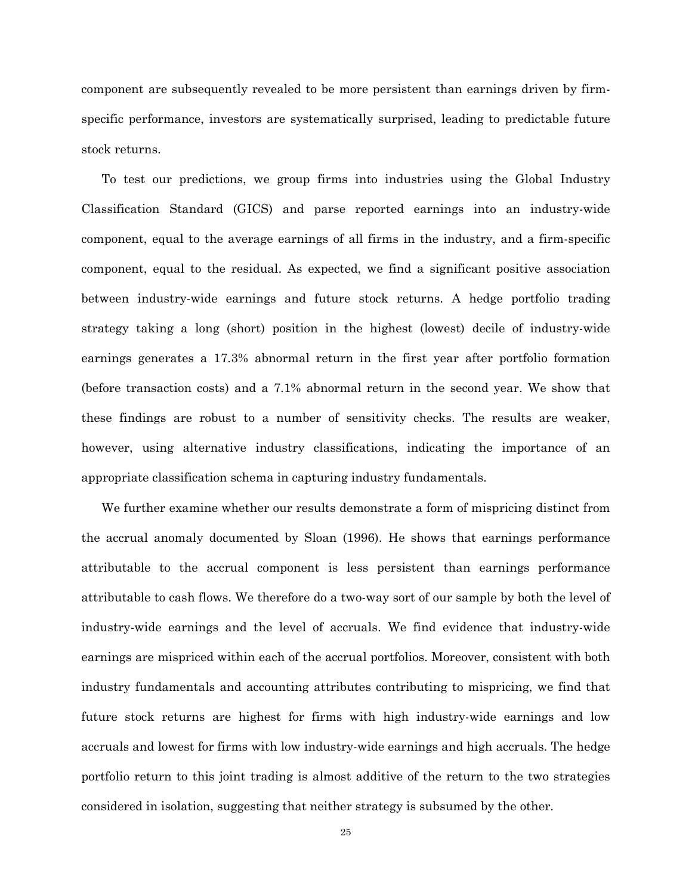component are subsequently revealed to be more persistent than earnings driven by firmspecific performance, investors are systematically surprised, leading to predictable future stock returns.

To test our predictions, we group firms into industries using the Global Industry Classification Standard (GICS) and parse reported earnings into an industry-wide component, equal to the average earnings of all firms in the industry, and a firm-specific component, equal to the residual. As expected, we find a significant positive association between industry-wide earnings and future stock returns. A hedge portfolio trading strategy taking a long (short) position in the highest (lowest) decile of industry-wide earnings generates a 17.3% abnormal return in the first year after portfolio formation (before transaction costs) and a 7.1% abnormal return in the second year. We show that these findings are robust to a number of sensitivity checks. The results are weaker, however, using alternative industry classifications, indicating the importance of an appropriate classification schema in capturing industry fundamentals.

We further examine whether our results demonstrate a form of mispricing distinct from the accrual anomaly documented by Sloan (1996). He shows that earnings performance attributable to the accrual component is less persistent than earnings performance attributable to cash flows. We therefore do a two-way sort of our sample by both the level of industry-wide earnings and the level of accruals. We find evidence that industry-wide earnings are mispriced within each of the accrual portfolios. Moreover, consistent with both industry fundamentals and accounting attributes contributing to mispricing, we find that future stock returns are highest for firms with high industry-wide earnings and low accruals and lowest for firms with low industry-wide earnings and high accruals. The hedge portfolio return to this joint trading is almost additive of the return to the two strategies considered in isolation, suggesting that neither strategy is subsumed by the other.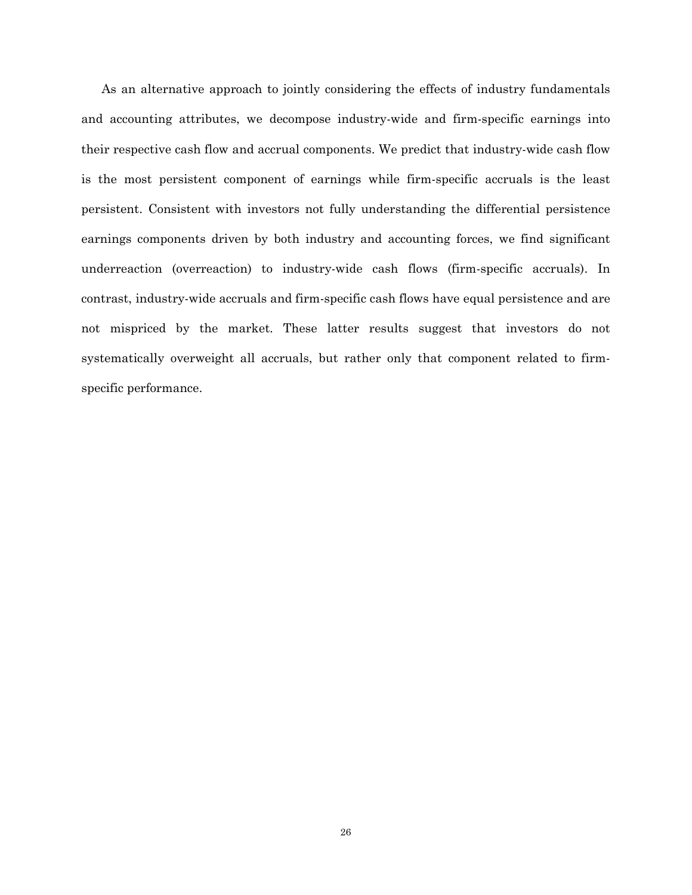As an alternative approach to jointly considering the effects of industry fundamentals and accounting attributes, we decompose industry-wide and firm-specific earnings into their respective cash flow and accrual components. We predict that industry-wide cash flow is the most persistent component of earnings while firm-specific accruals is the least persistent. Consistent with investors not fully understanding the differential persistence earnings components driven by both industry and accounting forces, we find significant underreaction (overreaction) to industry-wide cash flows (firm-specific accruals). In contrast, industry-wide accruals and firm-specific cash flows have equal persistence and are not mispriced by the market. These latter results suggest that investors do not systematically overweight all accruals, but rather only that component related to firmspecific performance.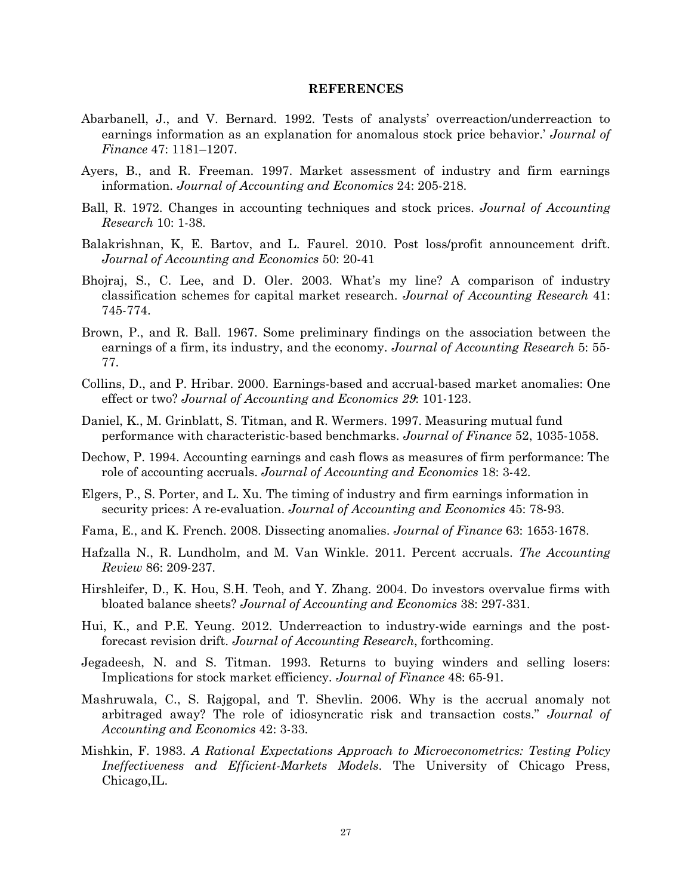#### **REFERENCES**

- Abarbanell, J., and V. Bernard. 1992. Tests of analysts' overreaction/underreaction to earnings information as an explanation for anomalous stock price behavior.' *Journal of Finance* 47: 1181–1207.
- Ayers, B., and R. Freeman. 1997. Market assessment of industry and firm earnings information. *Journal of Accounting and Economics* 24: 205-218.
- Ball, R. 1972. Changes in accounting techniques and stock prices. *Journal of Accounting Research* 10: 1-38.
- Balakrishnan, K, E. Bartov, and L. Faurel. 2010. Post loss/profit announcement drift. *Journal of Accounting and Economics* 50: 20-41
- Bhojraj, S., C. Lee, and D. Oler. 2003. What's my line? A comparison of industry classification schemes for capital market research. *Journal of Accounting Research* 41: 745-774.
- Brown, P., and R. Ball. 1967. Some preliminary findings on the association between the earnings of a firm, its industry, and the economy. *Journal of Accounting Research* 5: 55*-* 77.
- Collins, D., and P. Hribar. 2000. Earnings-based and accrual-based market anomalies: One effect or two? *Journal of Accounting and Economics 29*: 101-123.
- Daniel, K., M. Grinblatt, S. Titman, and R. Wermers. 1997. Measuring mutual fund performance with characteristic-based benchmarks. *Journal of Finance* 52, 1035-1058.
- Dechow, P. 1994. Accounting earnings and cash flows as measures of firm performance: The role of accounting accruals. *Journal of Accounting and Economics* 18: 3-42.
- Elgers, P., S. Porter, and L. Xu. The timing of industry and firm earnings information in security prices: A re-evaluation. *Journal of Accounting and Economics* 45: 78-93.
- Fama, E., and K. French. 2008. Dissecting anomalies. *Journal of Finance* 63: 1653-1678.
- Hafzalla N., R. Lundholm, and M. Van Winkle. 2011. Percent accruals. *The Accounting Review* 86: 209-237.
- Hirshleifer, D., K. Hou, S.H. Teoh, and Y. Zhang. 2004. Do investors overvalue firms with bloated balance sheets? *Journal of Accounting and Economics* 38: 297-331.
- Hui, K., and P.E. Yeung. 2012. Underreaction to industry-wide earnings and the postforecast revision drift. *Journal of Accounting Research*, forthcoming.
- Jegadeesh, N. and S. Titman. 1993. Returns to buying winders and selling losers: Implications for stock market efficiency. *Journal of Finance* 48: 65-91.
- Mashruwala, C., S. Rajgopal, and T. Shevlin. 2006. Why is the accrual anomaly not arbitraged away? The role of idiosyncratic risk and transaction costs." *Journal of Accounting and Economics* 42: 3-33.
- Mishkin, F. 1983. *A Rational Expectations Approach to Microeconometrics: Testing Policy Ineffectiveness and Efficient-Markets Models*. The University of Chicago Press, Chicago,IL.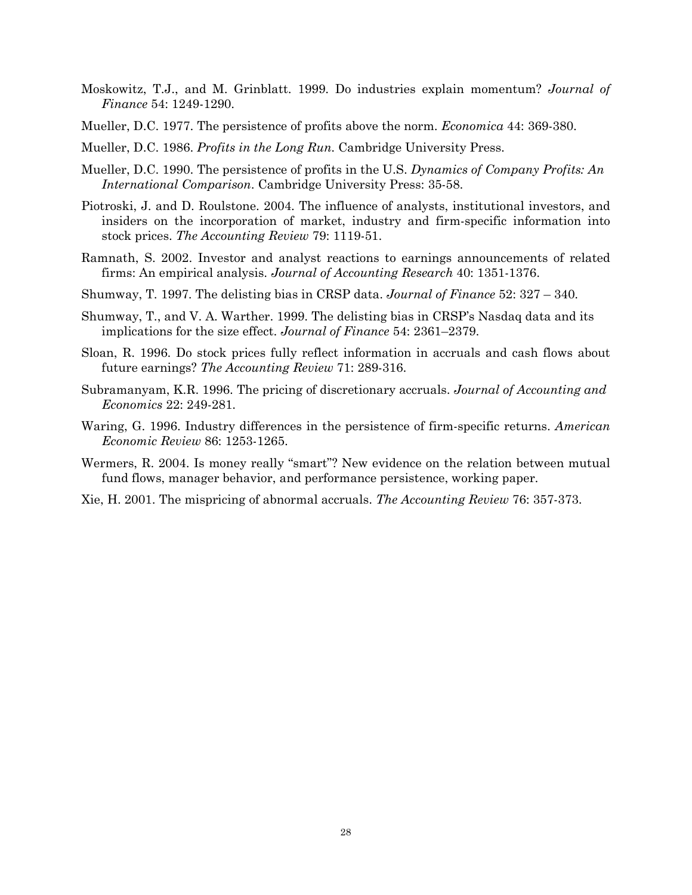- Moskowitz, T.J., and M. Grinblatt. 1999. Do industries explain momentum? *Journal of Finance* 54: 1249-1290.
- Mueller, D.C. 1977. The persistence of profits above the norm. *Economica* 44: 369-380.
- Mueller, D.C. 1986. *Profits in the Long Run*. Cambridge University Press.
- Mueller, D.C. 1990. The persistence of profits in the U.S. *Dynamics of Company Profits: An International Comparison*. Cambridge University Press: 35-58.
- Piotroski, J. and D. Roulstone. 2004. The influence of analysts, institutional investors, and insiders on the incorporation of market, industry and firm-specific information into stock prices. *The Accounting Review* 79: 1119-51.
- Ramnath, S. 2002. Investor and analyst reactions to earnings announcements of related firms: An empirical analysis. *Journal of Accounting Research* 40: 1351-1376.
- Shumway, T. 1997. The delisting bias in CRSP data. *Journal of Finance* 52: 327 340.
- Shumway, T., and V. A. Warther. 1999. The delisting bias in CRSP's Nasdaq data and its implications for the size effect. *Journal of Finance* 54: 2361–2379.
- Sloan, R. 1996. Do stock prices fully reflect information in accruals and cash flows about future earnings? *The Accounting Review* 71: 289-316.
- Subramanyam, K.R. 1996. The pricing of discretionary accruals. *Journal of Accounting and Economics* 22: 249-281.
- Waring, G. 1996. Industry differences in the persistence of firm-specific returns. *American Economic Review* 86: 1253-1265.
- Wermers, R. 2004. Is money really "smart"? New evidence on the relation between mutual fund flows, manager behavior, and performance persistence, working paper.
- Xie, H. 2001. The mispricing of abnormal accruals. *The Accounting Review* 76: 357-373.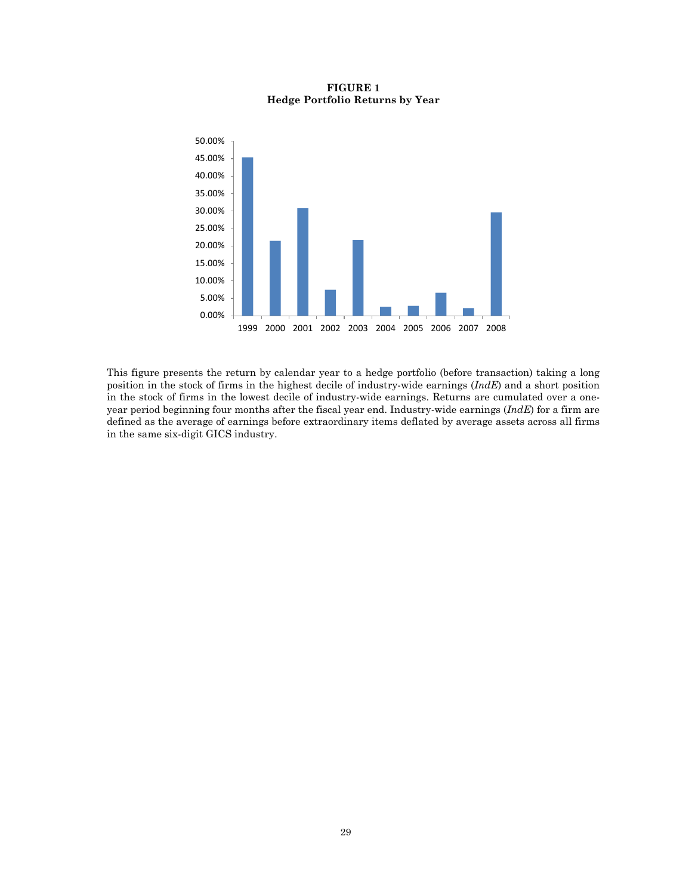

# **FIGURE 1 Hedge Portfolio Returns by Year**

This figure presents the return by calendar year to a hedge portfolio (before transaction) taking a long position in the stock of firms in the highest decile of industry-wide earnings (*IndE*) and a short position in the stock of firms in the lowest decile of industry-wide earnings. Returns are cumulated over a oneyear period beginning four months after the fiscal year end. Industry-wide earnings (*IndE*) for a firm are defined as the average of earnings before extraordinary items deflated by average assets across all firms in the same six-digit GICS industry.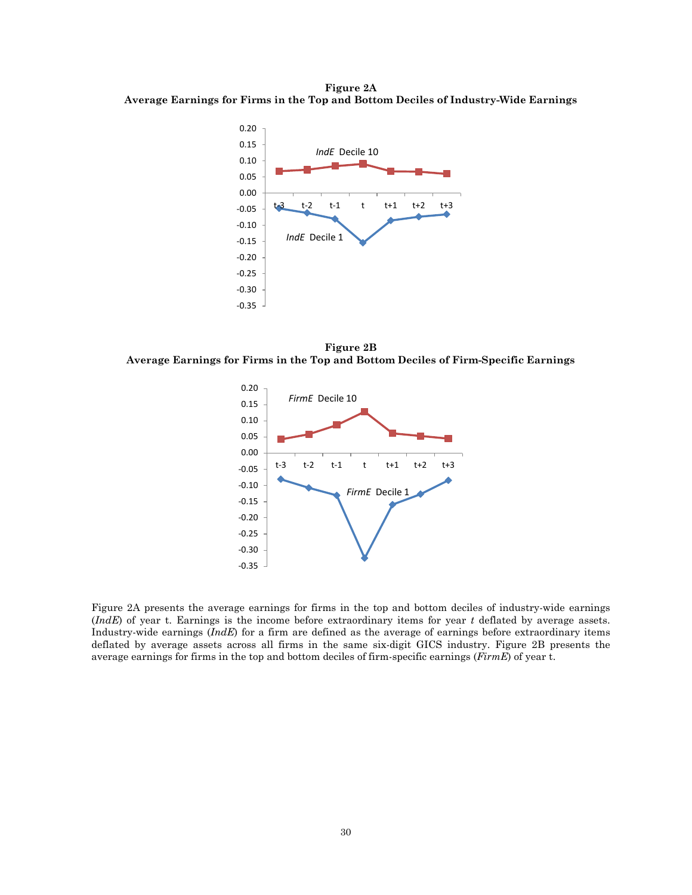**Figure 2A Average Earnings for Firms in the Top and Bottom Deciles of Industry-Wide Earnings**



**Figure 2B Average Earnings for Firms in the Top and Bottom Deciles of Firm-Specific Earnings**



Figure 2A presents the average earnings for firms in the top and bottom deciles of industry-wide earnings (*IndE*) of year t. Earnings is the income before extraordinary items for year *t* deflated by average assets. Industry-wide earnings (*IndE*) for a firm are defined as the average of earnings before extraordinary items deflated by average assets across all firms in the same six-digit GICS industry. Figure 2B presents the average earnings for firms in the top and bottom deciles of firm-specific earnings (*FirmE*) of year t.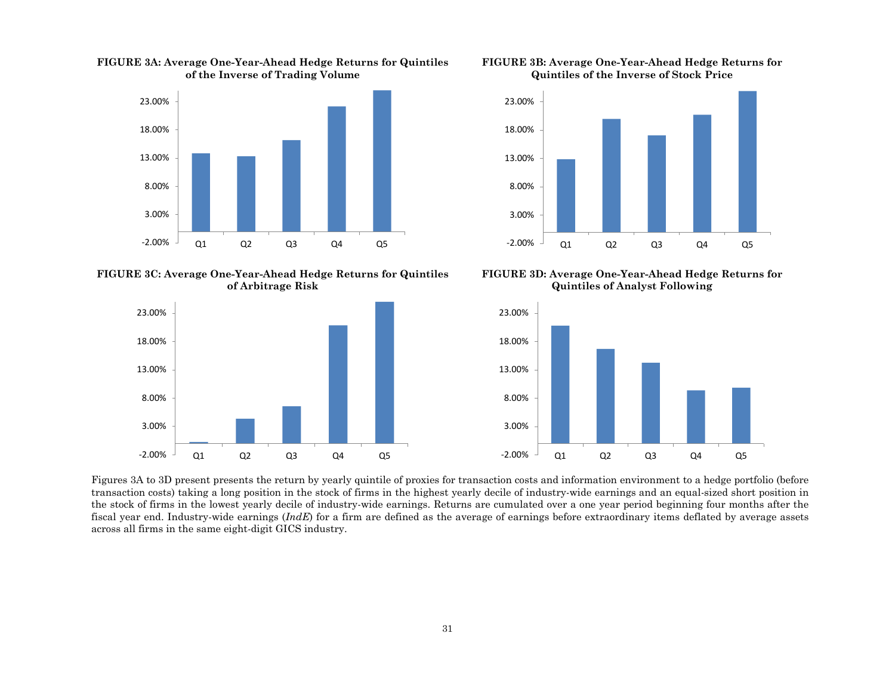

**FIGURE 3A: Average One-Year-Ahead Hedge Returns for Quintiles of the Inverse of Trading Volume**





**FIGURE 3C: Average One-Year-Ahead Hedge Returns for Quintiles of Arbitrage Risk**



**FIGURE 3D: Average One-Year-Ahead Hedge Returns for Quintiles of Analyst Following**



Figures 3A to 3D present presents the return by yearly quintile of proxies for transaction costs and information environment to a hedge portfolio (before transaction costs) taking a long position in the stock of firms in the highest yearly decile of industry-wide earnings and an equal-sized short position in the stock of firms in the lowest yearly decile of industry-wide earnings. Returns are cumulated over a one year period beginning four months after the fiscal year end. Industry-wide earnings (*IndE*) for a firm are defined as the average of earnings before extraordinary items deflated by average assets across all firms in the same eight-digit GICS industry.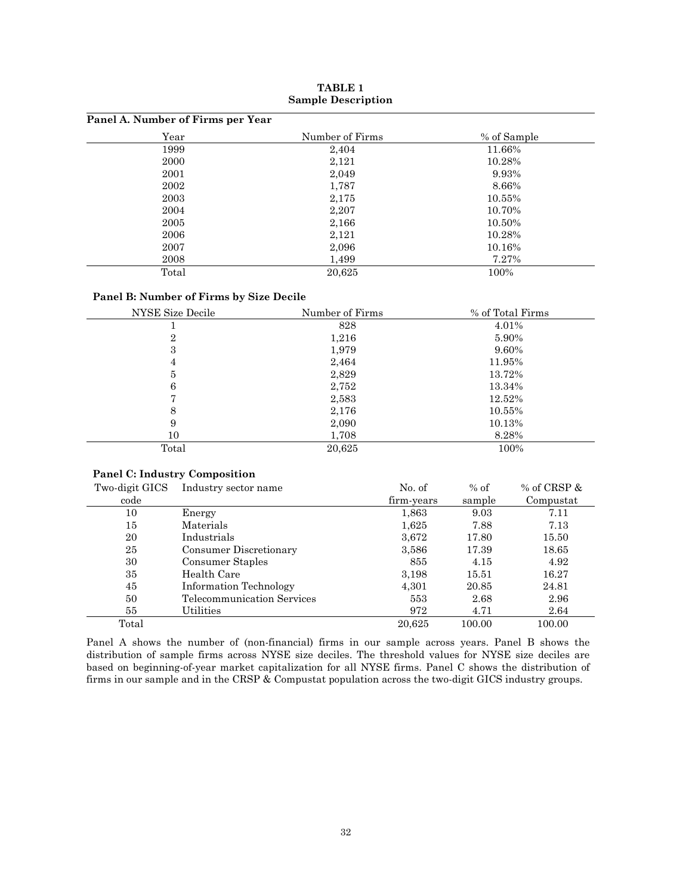| Panel A. Number of Firms per Year |                 |             |
|-----------------------------------|-----------------|-------------|
| Year                              | Number of Firms | % of Sample |
| 1999                              | 2,404           | 11.66%      |
| 2000                              | 2,121           | 10.28%      |
| 2001                              | 2,049           | 9.93%       |
| 2002                              | 1,787           | 8.66%       |
| 2003                              | 2,175           | 10.55%      |
| 2004                              | 2,207           | 10.70%      |
| 2005                              | 2,166           | 10.50%      |
| 2006                              | 2,121           | 10.28%      |
| 2007                              | 2,096           | 10.16%      |
| 2008                              | 1,499           | 7.27%       |
| Total                             | 20,625          | 100%        |

**TABLE 1 Sample Description**

#### **Panel B: Number of Firms by Size Decile**

| NYSE Size Decile | Number of Firms | % of Total Firms |
|------------------|-----------------|------------------|
|                  | 828             | 4.01%            |
| $\overline{2}$   | 1,216           | 5.90%            |
| 3                | 1,979           | 9.60%            |
| 4                | 2,464           | 11.95%           |
| 5                | 2,829           | 13.72%           |
| 6                | 2,752           | 13.34%           |
| n                | 2,583           | 12.52%           |
| 8                | 2,176           | 10.55%           |
| 9                | 2,090           | 10.13%           |
| 10               | 1,708           | 8.28%            |
| Total            | 20,625          | 100%             |

#### **Panel C: Industry Composition**

| Two-digit GICS | Industry sector name       | No. of     | $%$ of | % of CRSP $\&$ |
|----------------|----------------------------|------------|--------|----------------|
| code           |                            | firm-years | sample | Compustat      |
| 10             | Energy                     | 1,863      | 9.03   | 7.11           |
| 15             | Materials                  | 1,625      | 7.88   | 7.13           |
| 20             | Industrials                | 3,672      | 17.80  | 15.50          |
| 25             | Consumer Discretionary     | 3,586      | 17.39  | 18.65          |
| 30             | Consumer Staples           | 855        | 4.15   | 4.92           |
| 35             | Health Care                | 3,198      | 15.51  | 16.27          |
| 45             | Information Technology     | 4,301      | 20.85  | 24.81          |
| 50             | Telecommunication Services | 553        | 2.68   | 2.96           |
| 55             | Utilities                  | 972        | 4.71   | 2.64           |
| Total          |                            | 20.625     | 100.00 | 100.00         |

Panel A shows the number of (non-financial) firms in our sample across years. Panel B shows the distribution of sample firms across NYSE size deciles. The threshold values for NYSE size deciles are based on beginning-of-year market capitalization for all NYSE firms. Panel C shows the distribution of firms in our sample and in the CRSP & Compustat population across the two-digit GICS industry groups.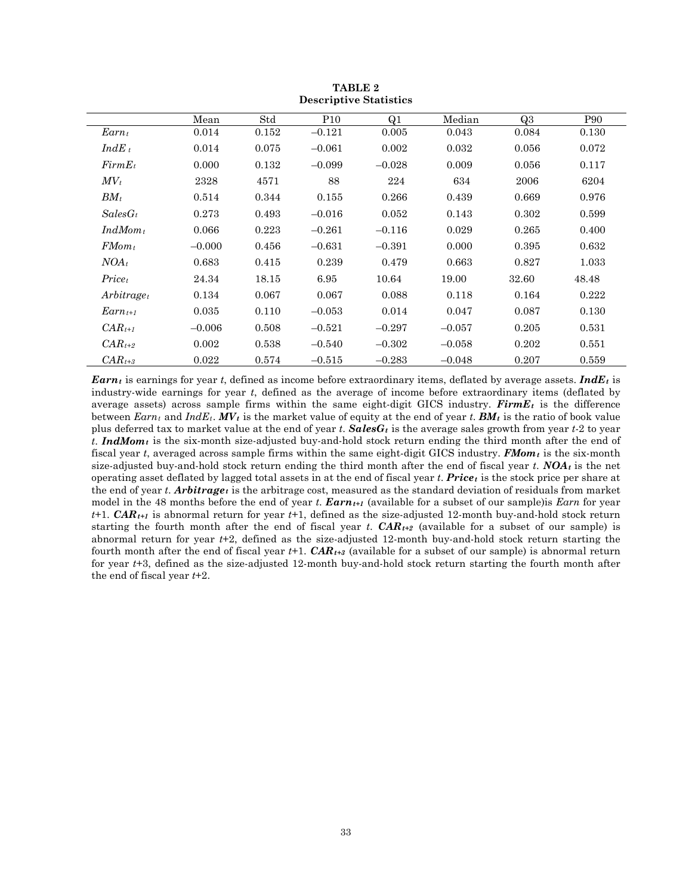|                    | Mean     | Std   | P <sub>10</sub> | Q1       | Median   | Q3    | P90   |
|--------------------|----------|-------|-----------------|----------|----------|-------|-------|
| $Earn_t$           | 0.014    | 0.152 | $-0.121$        | 0.005    | 0.043    | 0.084 | 0.130 |
| $IndE_t$           | 0.014    | 0.075 | $-0.061$        | 0.002    | 0.032    | 0.056 | 0.072 |
| $FirmE_t$          | 0.000    | 0.132 | $-0.099$        | $-0.028$ | 0.009    | 0.056 | 0.117 |
| $MV_t$             | 2328     | 4571  | 88              | 224      | 634      | 2006  | 6204  |
| $BM_t$             | 0.514    | 0.344 | 0.155           | 0.266    | 0.439    | 0.669 | 0.976 |
| $SalesG_t$         | 0.273    | 0.493 | $-0.016$        | 0.052    | 0.143    | 0.302 | 0.599 |
| $IndMom_t$         | 0.066    | 0.223 | $-0.261$        | $-0.116$ | 0.029    | 0.265 | 0.400 |
| $FMom_t$           | $-0.000$ | 0.456 | $-0.631$        | $-0.391$ | 0.000    | 0.395 | 0.632 |
| $NOA_t$            | 0.683    | 0.415 | 0.239           | 0.479    | 0.663    | 0.827 | 1.033 |
| Price <sub>t</sub> | 24.34    | 18.15 | 6.95            | 10.64    | 19.00    | 32.60 | 48.48 |
| $Arbitrage_t$      | 0.134    | 0.067 | 0.067           | 0.088    | 0.118    | 0.164 | 0.222 |
| $Earnt+1$          | 0.035    | 0.110 | $-0.053$        | 0.014    | 0.047    | 0.087 | 0.130 |
| $CAR_{t+1}$        | $-0.006$ | 0.508 | $-0.521$        | $-0.297$ | $-0.057$ | 0.205 | 0.531 |
| $CAR_{t+2}$        | 0.002    | 0.538 | $-0.540$        | $-0.302$ | $-0.058$ | 0.202 | 0.551 |
| $CAR_{t+3}$        | 0.022    | 0.574 | $-0.515$        | $-0.283$ | $-0.048$ | 0.207 | 0.559 |

**TABLE 2 Descriptive Statistics**

*Earnt* is earnings for year *t*, defined as income before extraordinary items, deflated by average assets. *IndEt* is industry-wide earnings for year *t*, defined as the average of income before extraordinary items (deflated by average assets) across sample firms within the same eight-digit GICS industry. **Firm E**<sub>t</sub> is the difference between  $Earn_t$  and  $IndE_t$ .  $MV_t$  is the market value of equity at the end of year t.  $BM_t$  is the ratio of book value plus deferred tax to market value at the end of year *t*. *SalesGt* is the average sales growth from year *t*-2 to year  $t$ . **IndMom**<sub>t</sub> is the six-month size-adjusted buy-and-hold stock return ending the third month after the end of fiscal year *t*, averaged across sample firms within the same eight-digit GICS industry. *FMomt* is the six-month size-adjusted buy-and-hold stock return ending the third month after the end of fiscal year  $t$ . **NOA** $t$  is the net operating asset deflated by lagged total assets in at the end of fiscal year *t*. *Pricet* is the stock price per share at the end of year *t*. *Arbitrage<sub>t</sub>* is the arbitrage cost, measured as the standard deviation of residuals from market model in the 48 months before the end of year *t*. *Earn<sub>t+1</sub>* (available for a subset of our sample) is *Earn* for year *t*+1. *CARt+1* is abnormal return for year *t*+1, defined as the size-adjusted 12-month buy-and-hold stock return starting the fourth month after the end of fiscal year *t*.  $CAR_{t+2}$  (available for a subset of our sample) is abnormal return for year *t*+2, defined as the size-adjusted 12-month buy-and-hold stock return starting the fourth month after the end of fiscal year  $t+1$ .  $CAR_{t+3}$  (available for a subset of our sample) is abnormal return for year *t*+3, defined as the size-adjusted 12-month buy-and-hold stock return starting the fourth month after the end of fiscal year *t*+2.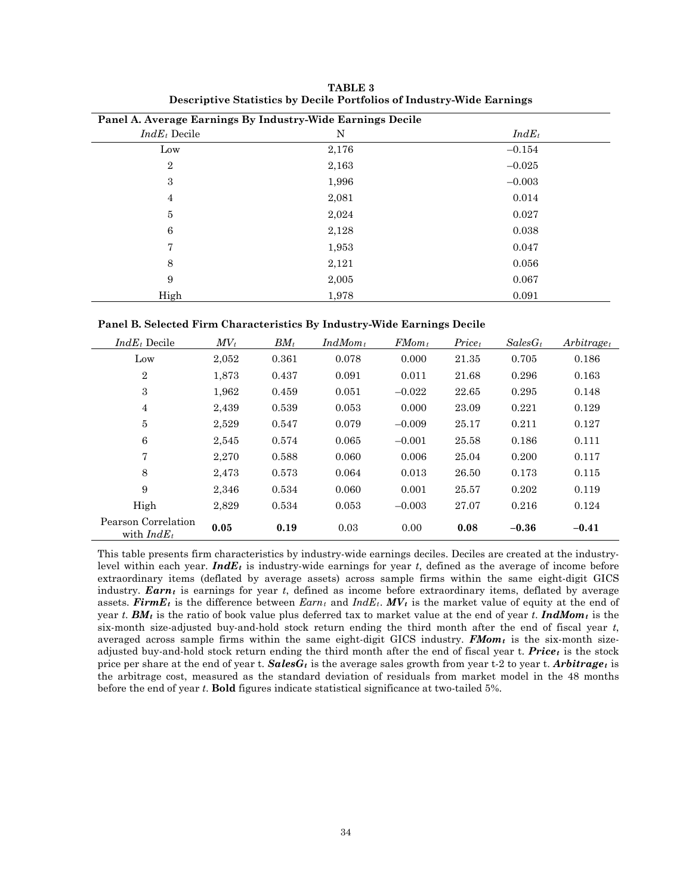| Panel A. Average Earnings By Industry-Wide Earnings Decile |       |          |
|------------------------------------------------------------|-------|----------|
| $IndE_t$ Decile                                            | N     | $IndE_t$ |
| Low                                                        | 2,176 | $-0.154$ |
| $\overline{2}$                                             | 2,163 | $-0.025$ |
| 3                                                          | 1,996 | $-0.003$ |
| $\overline{4}$                                             | 2,081 | 0.014    |
| 5                                                          | 2,024 | 0.027    |
| 6                                                          | 2,128 | 0.038    |
| 7                                                          | 1,953 | 0.047    |
| 8                                                          | 2,121 | 0.056    |
| 9                                                          | 2,005 | 0.067    |
| High                                                       | 1,978 | 0.091    |

**TABLE 3 Descriptive Statistics by Decile Portfolios of Industry-Wide Earnings**

| Panel B. Selected Firm Characteristics By Industry-Wide Earnings Decile |  |  |  |
|-------------------------------------------------------------------------|--|--|--|
|-------------------------------------------------------------------------|--|--|--|

| $IndE_t$ Decile                      | $MV_t$ | $BM_t$ | $IndMom_t$ | $FMom_t$ | Price <sub>t</sub> | $SalesG_t$ | $Arbitrage_t$ |
|--------------------------------------|--------|--------|------------|----------|--------------------|------------|---------------|
| Low                                  | 2,052  | 0.361  | 0.078      | 0.000    | 21.35              | 0.705      | 0.186         |
| $\overline{2}$                       | 1.873  | 0.437  | 0.091      | 0.011    | 21.68              | 0.296      | 0.163         |
| 3                                    | 1,962  | 0.459  | 0.051      | $-0.022$ | 22.65              | 0.295      | 0.148         |
| 4                                    | 2,439  | 0.539  | 0.053      | 0.000    | 23.09              | 0.221      | 0.129         |
| 5                                    | 2,529  | 0.547  | 0.079      | $-0.009$ | 25.17              | 0.211      | 0.127         |
| 6                                    | 2,545  | 0.574  | 0.065      | $-0.001$ | 25.58              | 0.186      | 0.111         |
| 7                                    | 2,270  | 0.588  | 0.060      | 0.006    | 25.04              | 0.200      | 0.117         |
| 8                                    | 2,473  | 0.573  | 0.064      | 0.013    | 26.50              | 0.173      | 0.115         |
| 9                                    | 2,346  | 0.534  | 0.060      | 0.001    | 25.57              | 0.202      | 0.119         |
| High                                 | 2.829  | 0.534  | 0.053      | $-0.003$ | 27.07              | 0.216      | 0.124         |
| Pearson Correlation<br>with $IndE_t$ | 0.05   | 0.19   | 0.03       | 0.00     | 0.08               | $-0.36$    | $-0.41$       |

This table presents firm characteristics by industry-wide earnings deciles. Deciles are created at the industrylevel within each year. **IndE**<sub>t</sub> is industry-wide earnings for year  $t$ , defined as the average of income before extraordinary items (deflated by average assets) across sample firms within the same eight-digit GICS industry. *Earnt* is earnings for year *t*, defined as income before extraordinary items, deflated by average assets. **FirmE**<sub>t</sub> is the difference between  $Earn_t$  and  $IndE_t$ .  $MV_t$  is the market value of equity at the end of year *t*. *BMt* is the ratio of book value plus deferred tax to market value at the end of year *t*. *IndMomt* is the six-month size-adjusted buy-and-hold stock return ending the third month after the end of fiscal year *t*, averaged across sample firms within the same eight-digit GICS industry. *FMomt* is the six-month sizeadjusted buy-and-hold stock return ending the third month after the end of fiscal year t. *Pricet* is the stock price per share at the end of year t. *SalesGt* is the average sales growth from year t-2 to year t. *Arbitraget* is the arbitrage cost, measured as the standard deviation of residuals from market model in the 48 months before the end of year *t*. **Bold** figures indicate statistical significance at two-tailed 5%.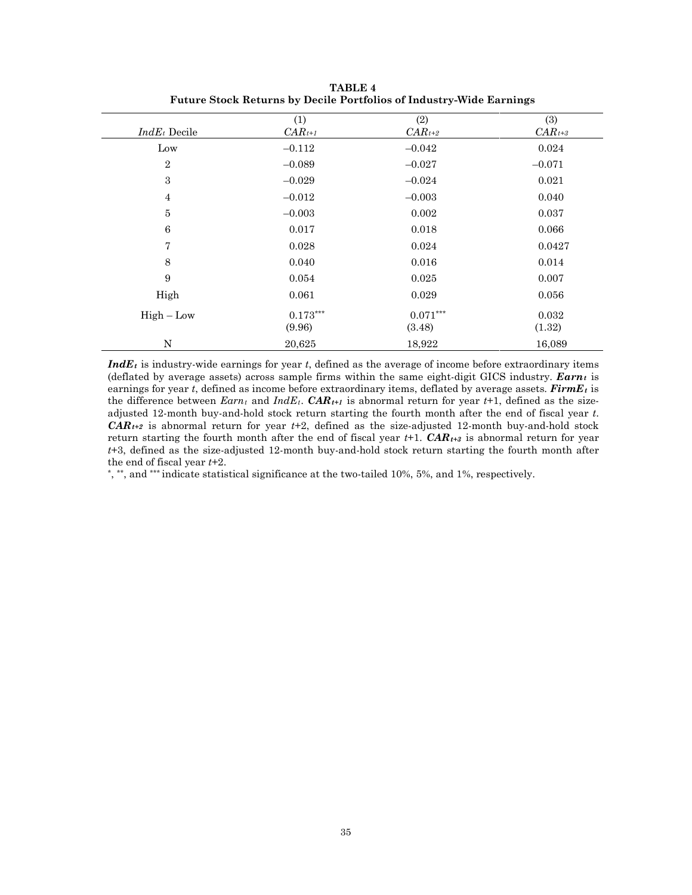| $IndE_t$ Decile | (1)<br>$CAR_{t+1}$   | (2)<br>$CAR_{t+2}$   | (3)<br>$CAR_{t+3}$ |
|-----------------|----------------------|----------------------|--------------------|
| Low             | $-0.112$             | $-0.042$             | 0.024              |
| $\overline{2}$  | $-0.089$             | $-0.027$             | $-0.071$           |
| $\sqrt{3}$      | $-0.029$             | $-0.024$             | 0.021              |
| $\overline{4}$  | $-0.012$             | $-0.003$             | 0.040              |
| $\bf 5$         | $-0.003$             | 0.002                | 0.037              |
| $\,6\,$         | 0.017                | 0.018                | 0.066              |
| $\overline{7}$  | 0.028                | 0.024                | 0.0427             |
| 8               | 0.040                | 0.016                | 0.014              |
| 9               | 0.054                | 0.025                | 0.007              |
| High            | 0.061                | 0.029                | 0.056              |
| $High - Low$    | $0.173***$<br>(9.96) | $0.071***$<br>(3.48) | 0.032<br>(1.32)    |
| N               | 20,625               | 18,922               | 16,089             |

**TABLE 4 Future Stock Returns by Decile Portfolios of Industry-Wide Earnings**

*IndEt* is industry-wide earnings for year *t*, defined as the average of income before extraordinary items (deflated by average assets) across sample firms within the same eight-digit GICS industry.  $Earn_t$  is earnings for year *t*, defined as income before extraordinary items, deflated by average assets. *FirmEt* is the difference between  $Earn_t$  and  $IndE_t$ .  $CAR_{t+1}$  is abnormal return for year  $t+1$ , defined as the sizeadjusted 12-month buy-and-hold stock return starting the fourth month after the end of fiscal year *t*. *CARt+2* is abnormal return for year *t*+2, defined as the size-adjusted 12-month buy-and-hold stock return starting the fourth month after the end of fiscal year  $t+1$ .  $CAR_{t+3}$  is abnormal return for year *t*+3, defined as the size-adjusted 12-month buy-and-hold stock return starting the fourth month after the end of fiscal year *t*+2.

\*, \*\*, and \*\*\* indicate statistical significance at the two-tailed 10%, 5%, and 1%, respectively.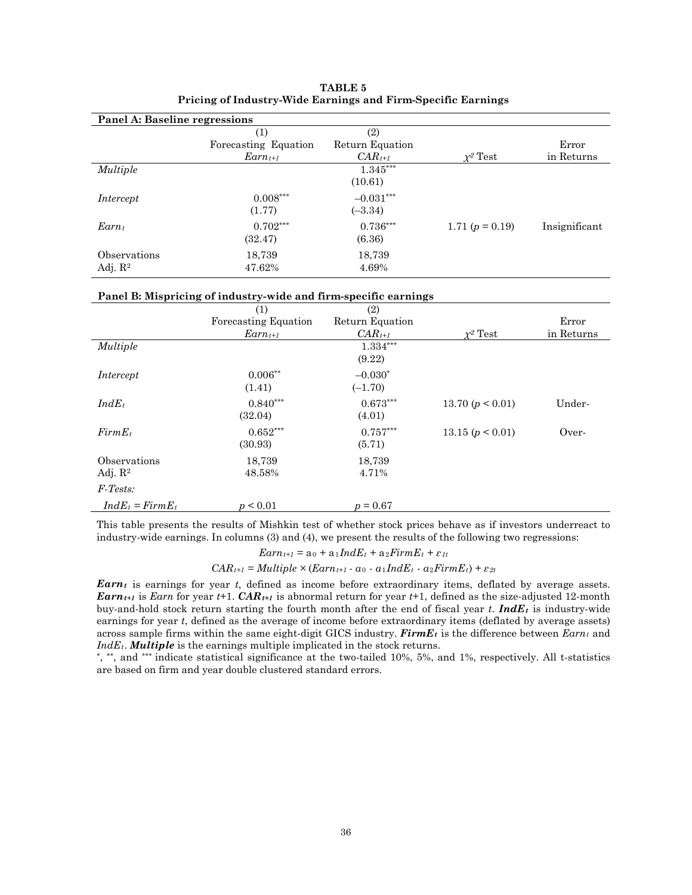| Panel A: Baseline regressions       |                             |                          |                   |               |
|-------------------------------------|-----------------------------|--------------------------|-------------------|---------------|
|                                     | (1)<br>Forecasting Equation | (2)<br>Return Equation   |                   | Error         |
|                                     | $Earnt+1$                   | $CAR_{t+1}$              | $r^2$ Test        | in Returns    |
| <b>Multiple</b>                     |                             | 1.345***<br>(10.61)      |                   |               |
| Intercept                           | $0.008***$<br>(1.77)        | $-0.031***$<br>$(-3.34)$ |                   |               |
| $Earn_t$                            | $0.702***$<br>(32.47)       | $0.736***$<br>(6.36)     | 1.71 $(p = 0.19)$ | Insignificant |
| Observations<br>Adj. $\mathbb{R}^2$ | 18,739<br>47.62%            | 18,739<br>4.69%          |                   |               |

| TABLE 5                                                      |  |
|--------------------------------------------------------------|--|
| Pricing of Industry-Wide Earnings and Firm-Specific Earnings |  |

#### **Panel B: Mispricing of industry-wide and firm-specific earnings**

|                             | (1)                  | (2)             |                    |            |
|-----------------------------|----------------------|-----------------|--------------------|------------|
|                             | Forecasting Equation | Return Equation |                    | Error      |
|                             | $Earnt+1$            | $CAR_{t+1}$     | $\chi^2$ Test      | in Returns |
| Multiple                    |                      | 1.334***        |                    |            |
|                             |                      | (9.22)          |                    |            |
| Intercept                   | $0.006**$            | $-0.030*$       |                    |            |
|                             | (1.41)               | $(-1.70)$       |                    |            |
| $IndE_t$                    | $0.840***$           | $0.673***$      | 13.70 $(p < 0.01)$ | Under-     |
|                             | (32.04)              | (4.01)          |                    |            |
| $FirmE_t$                   | $0.652***$           | $0.757***$      | 13.15(p < 0.01)    | Over-      |
|                             | (30.93)              | (5.71)          |                    |            |
| Observations                | 18,739               | 18,739          |                    |            |
| Adj. $R2$                   | 48.58%               | 4.71%           |                    |            |
| $F\text{-}\mathit{Tests}$ : |                      |                 |                    |            |
| $IndE_t = FirmE_t$          | p < 0.01             | $p = 0.67$      |                    |            |

This table presents the results of Mishkin test of whether stock prices behave as if investors underreact to industry-wide earnings. In columns (3) and (4), we present the results of the following two regressions:

 $Earn_{t+1} = a_0 + a_1IndE_t + a_2FirmE_t + \varepsilon_{1t}$ 

 $CAR_{t+1} = Multiple \times (Earn_{t+1} - a_0 - a_1IndE_t - a_2FirmE_t) + \varepsilon_{2t}$ 

*Earnt* is earnings for year *t*, defined as income before extraordinary items, deflated by average assets. *Earn<sub>t+1</sub>* is *Earn* for year *t*+1. *CAR<sub>t+1</sub>* is abnormal return for year *t*+1, defined as the size-adjusted 12-month buy-and-hold stock return starting the fourth month after the end of fiscal year *t*. *IndEt* is industry-wide earnings for year *t*, defined as the average of income before extraordinary items (deflated by average assets) across sample firms within the same eight-digit GICS industry. *FirmEt* is the difference between *Earnt* and *IndEt*. *Multiple* is the earnings multiple implicated in the stock returns.

\*, \*\*, and \*\*\* indicate statistical significance at the two-tailed 10%, 5%, and 1%, respectively. All t-statistics are based on firm and year double clustered standard errors.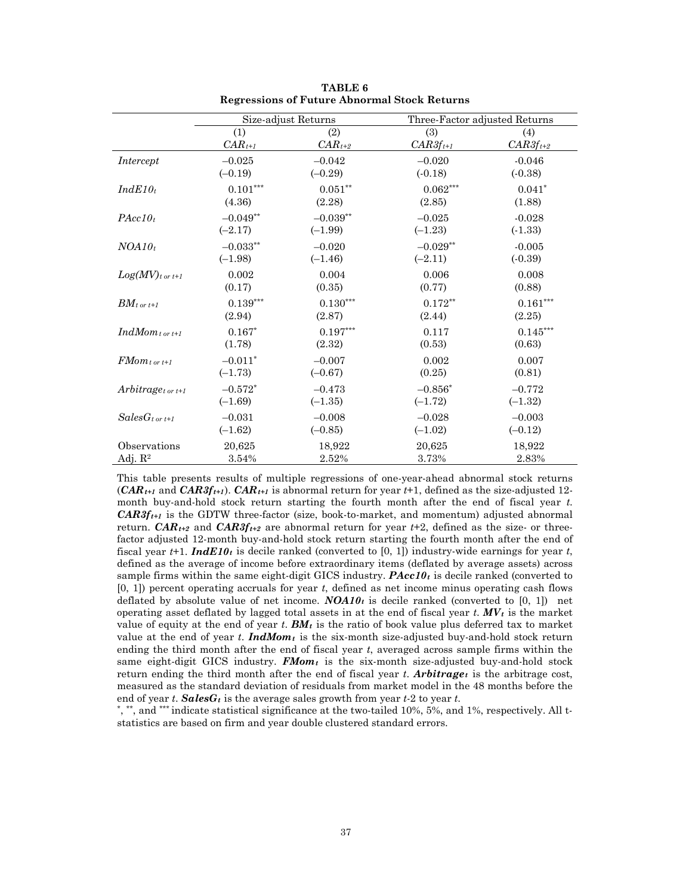|                               |             | Size-adjust Returns | Three-Factor adjusted Returns |               |
|-------------------------------|-------------|---------------------|-------------------------------|---------------|
|                               | (1)         | (2)                 | (3)                           | (4)           |
|                               | $CAR_{t+1}$ | $CAR_{t+2}$         | $CAR3f_{t+1}$                 | $CAR3f_{t+2}$ |
| Intercept                     | $-0.025$    | $-0.042$            | $-0.020$                      | $-0.046$      |
|                               | $(-0.19)$   | $(-0.29)$           | $(-0.18)$                     | $(-0.38)$     |
| $IndE10_t$                    | $0.101***$  | $0.051**$           | $0.062***$                    | $0.041*$      |
|                               | (4.36)      | (2.28)              | (2.85)                        | (1.88)        |
| $PAcc10_t$                    | $-0.049**$  | $-0.039**$          | $-0.025$                      | $-0.028$      |
|                               | $(-2.17)$   | $(-1.99)$           | $(-1.23)$                     | $(-1.33)$     |
| $NOA10_t$                     | $-0.033***$ | $-0.020$            | $-0.029**$                    | $-0.005$      |
|                               | $(-1.98)$   | $(-1.46)$           | $(-2.11)$                     | $(-0.39)$     |
| $Log(MV)_{t \text{ or } t+1}$ | 0.002       | 0.004               | 0.006                         | 0.008         |
|                               | (0.17)      | (0.35)              | (0.77)                        | (0.88)        |
| $BM_{t \text{ or } t+1}$      | $0.139***$  | $0.130***$          | $0.172**$                     | $0.161***$    |
|                               | (2.94)      | (2.87)              | (2.44)                        | (2.25)        |
| $IndMom_{t \ or \ t+1}$       | $0.167*$    | $0.197***$          | 0.117                         | $0.145***$    |
|                               | (1.78)      | (2.32)              | (0.53)                        | (0.63)        |
| $FMom_{tor\,t+1}$             | $-0.011*$   | $-0.007$            | 0.002                         | 0.007         |
|                               | $(-1.73)$   | $(-0.67)$           | (0.25)                        | (0.81)        |
| $Arbitrage_{tor~t+1}$         | $-0.572*$   | $-0.473$            | $-0.856*$                     | $-0.772$      |
|                               | $(-1.69)$   | $(-1.35)$           | $(-1.72)$                     | $(-1.32)$     |
| $SalesG_{t \text{ or } t+1}$  | $-0.031$    | $-0.008$            | $-0.028$                      | $-0.003$      |
|                               | $(-1.62)$   | $(-0.85)$           | $(-1.02)$                     | $(-0.12)$     |
| Observations                  | 20,625      | 18,922              | 20,625                        | 18,922        |
| Adj. $R^2$                    | 3.54%       | 2.52%               | 3.73%                         | 2.83%         |

**TABLE 6 Regressions of Future Abnormal Stock Returns**

This table presents results of multiple regressions of one-year-ahead abnormal stock returns  $(CAR_{t+1}$  and  $CAR3f_{t+1}$ ).  $CAR_{t+1}$  is abnormal return for year  $t+1$ , defined as the size-adjusted 12month buy-and-hold stock return starting the fourth month after the end of fiscal year *t*. *CAR3ft+1* is the GDTW three-factor (size, book-to-market, and momentum) adjusted abnormal return. *CAR<sub>t+2</sub>* and *CAR3f<sub>t+2</sub>* are abnormal return for year  $t+2$ , defined as the size- or threefactor adjusted 12-month buy-and-hold stock return starting the fourth month after the end of fiscal year  $t+1$ . **IndE10**<sub>t</sub> is decile ranked (converted to [0, 1]) industry-wide earnings for year  $t$ , defined as the average of income before extraordinary items (deflated by average assets) across sample firms within the same eight-digit GICS industry. *PAcc10t* is decile ranked (converted to [0, 1]) percent operating accruals for year *t*, defined as net income minus operating cash flows deflated by absolute value of net income.  $NOA10<sub>t</sub>$  is decile ranked (converted to [0, 1]) net operating asset deflated by lagged total assets in at the end of fiscal year  $t$ .  $MV_t$  is the market value of equity at the end of year  $t$ .  $BM_t$  is the ratio of book value plus deferred tax to market value at the end of year *t*. **IndMom**<sub>t</sub> is the six-month size-adjusted buy-and-hold stock return ending the third month after the end of fiscal year *t*, averaged across sample firms within the same eight-digit GICS industry. **FMom**<sub>t</sub> is the six-month size-adjusted buy-and-hold stock return ending the third month after the end of fiscal year  $t$ . **Arbitrage** is the arbitrage cost, measured as the standard deviation of residuals from market model in the 48 months before the end of year *t*. *SalesGt* is the average sales growth from year *t*-2 to year *t*.

\*, \*\*, and \*\*\* indicate statistical significance at the two-tailed 10%, 5%, and 1%, respectively. All tstatistics are based on firm and year double clustered standard errors.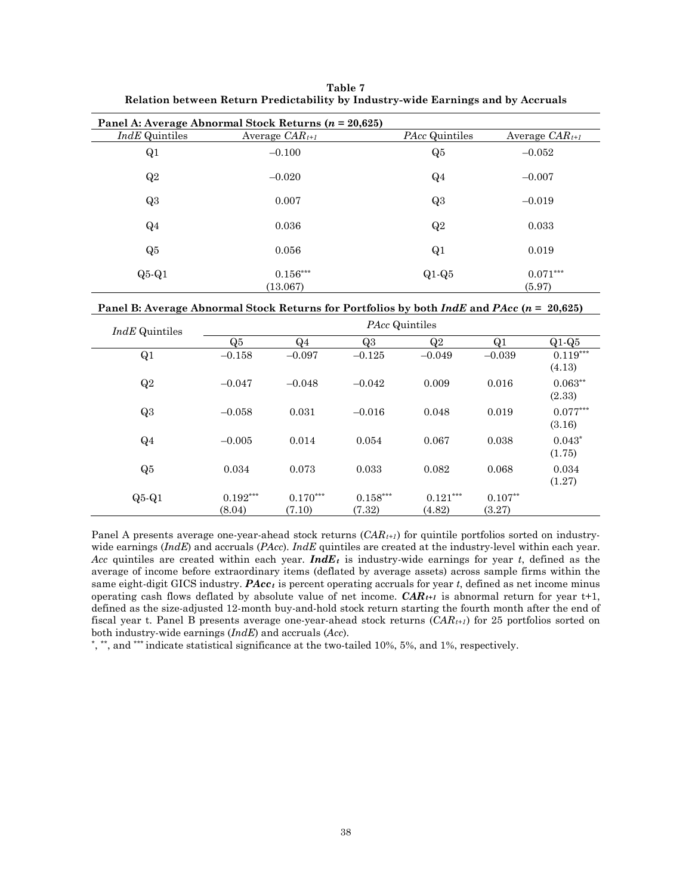| Table 7                                                                          |
|----------------------------------------------------------------------------------|
| Relation between Return Predictability by Industry-wide Earnings and by Accruals |

|                  | Panel A: Average Abnormal Stock Returns $(n = 20,625)$ |                |                      |
|------------------|--------------------------------------------------------|----------------|----------------------|
| $IndE$ Quintiles | Average $CAR_{t+1}$                                    | PAcc Quintiles | Average $CAR_{t+1}$  |
| Q1               | $-0.100$                                               | Q5             | $-0.052$             |
| Q2               | $-0.020$                                               | $Q_4$          | $-0.007$             |
| Q3               | 0.007                                                  | Q3             | $-0.019$             |
| $Q_4$            | 0.036                                                  | Q2             | 0.033                |
| Q5               | 0.056                                                  | Q <sub>1</sub> | 0.019                |
| $Q5-Q1$          | $0.156***$<br>(13.067)                                 | $Q1-Q5$        | $0.071***$<br>(5.97) |

| Panel B: Average Abnormal Stock Returns for Portfolios by both <i>IndE</i> and <i>PAcc</i> ( $n = 20,625$ ) |  |
|-------------------------------------------------------------------------------------------------------------|--|
|-------------------------------------------------------------------------------------------------------------|--|

| <i>IndE</i> Quintiles |                      | <i>PAcc</i> Quintiles |                      |                      |                     |                      |  |
|-----------------------|----------------------|-----------------------|----------------------|----------------------|---------------------|----------------------|--|
|                       | Q5                   | $Q_4$                 | Q3                   | Q2                   | Q1                  | $Q1-Q5$              |  |
| Q1                    | $-0.158$             | $-0.097$              | $-0.125$             | $-0.049$             | $-0.039$            | $0.119***$<br>(4.13) |  |
| Q2                    | $-0.047$             | $-0.048$              | $-0.042$             | 0.009                | 0.016               | $0.063**$<br>(2.33)  |  |
| Q3                    | $-0.058$             | 0.031                 | $-0.016$             | 0.048                | 0.019               | $0.077***$<br>(3.16) |  |
| $Q_4$                 | $-0.005$             | 0.014                 | 0.054                | 0.067                | 0.038               | $0.043*$<br>(1.75)   |  |
| Q5                    | 0.034                | 0.073                 | 0.033                | 0.082                | 0.068               | 0.034<br>(1.27)      |  |
| $Q5-Q1$               | $0.192***$<br>(8.04) | $0.170***$<br>(7.10)  | $0.158***$<br>(7.32) | $0.121***$<br>(4.82) | $0.107**$<br>(3.27) |                      |  |

Panel A presents average one-year-ahead stock returns (*CAR<sub>t+1</sub>*) for quintile portfolios sorted on industrywide earnings (*IndE*) and accruals (*PAcc*). *IndE* quintiles are created at the industry-level within each year. *Acc* quintiles are created within each year. *IndEt* is industry-wide earnings for year *t*, defined as the average of income before extraordinary items (deflated by average assets) across sample firms within the same eight-digit GICS industry. *PAcct* is percent operating accruals for year *t*, defined as net income minus operating cash flows deflated by absolute value of net income.  $CAR_{t+1}$  is abnormal return for year  $t+1$ , defined as the size-adjusted 12-month buy-and-hold stock return starting the fourth month after the end of fiscal year t. Panel B presents average one-year-ahead stock returns (*CARt+1*) for 25 portfolios sorted on both industry-wide earnings (*IndE*) and accruals (*Acc*).

\*, \*\*, and \*\*\* indicate statistical significance at the two-tailed 10%, 5%, and 1%, respectively.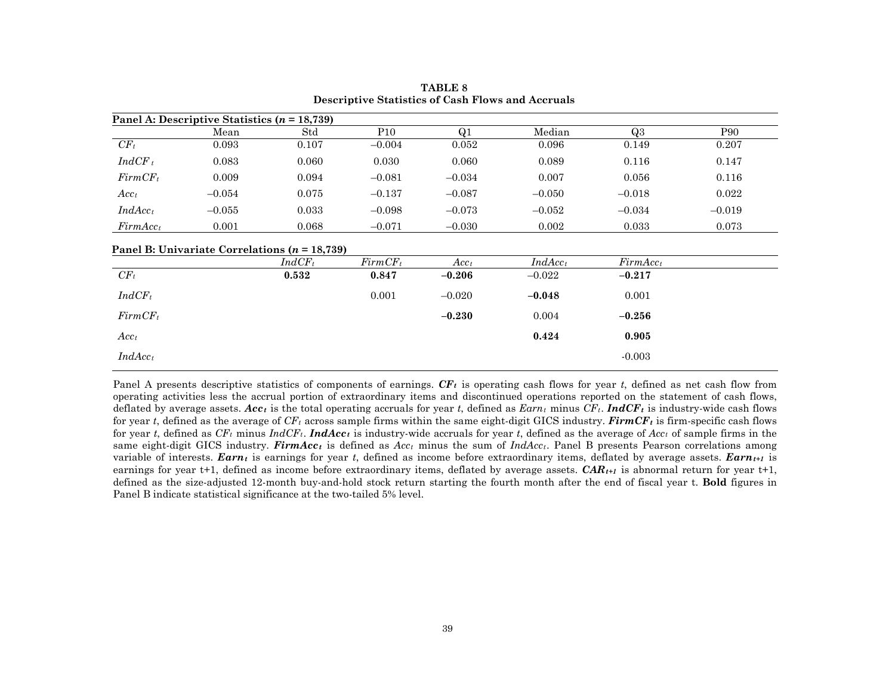|                      | Panel A: Descriptive Statistics $(n = 18,739)$ |       |                 |          |          |          |          |
|----------------------|------------------------------------------------|-------|-----------------|----------|----------|----------|----------|
|                      | Mean                                           | Std   | P <sub>10</sub> | Q1       | Median   | Q3       | P90      |
| $CF_t$               | 0.093                                          | 0.107 | $-0.004$        | 0.052    | 0.096    | 0.149    | 0.207    |
| $IndCF_t$            | 0.083                                          | 0.060 | 0.030           | 0.060    | 0.089    | 0.116    | 0.147    |
| $FirmCF_t$           | 0.009                                          | 0.094 | $-0.081$        | $-0.034$ | 0.007    | 0.056    | 0.116    |
| $Acc_t$              | $-0.054$                                       | 0.075 | $-0.137$        | $-0.087$ | $-0.050$ | $-0.018$ | 0.022    |
| $IndAcc_t$           | $-0.055$                                       | 0.033 | $-0.098$        | $-0.073$ | $-0.052$ | $-0.034$ | $-0.019$ |
| FirmAcc <sub>t</sub> | 0.001                                          | 0.068 | $-0.071$        | $-0.030$ | 0.002    | 0.033    | 0.073    |

**TABLE 8 Descriptive Statistics of Cash Flows and Accruals**

#### **Panel B: Univariate Correlations (***n* **= 18,739)**

|                  | $IndCF_t$ | $FirmCF_t$ | $Acc_t$  | $IndAcc_t$ | FirmAcc <sub>t</sub> |
|------------------|-----------|------------|----------|------------|----------------------|
| $CF_t$           | 0.532     | 0.847      | $-0.206$ | $-0.022$   | $-0.217$             |
| $IndCF_t$        |           | 0.001      | $-0.020$ | $-0.048$   | 0.001                |
| $FirmCF_t$       |           |            | $-0.230$ | 0.004      | $-0.256$             |
| Acc <sub>t</sub> |           |            |          | 0.424      | 0.905                |
| $IndAcc_t$       |           |            |          |            | $-0.003$             |

Panel A presents descriptive statistics of components of earnings. *CFt* is operating cash flows for year *t*, defined as net cash flow from operating activities less the accrual portion of extraordinary items and discontinued operations reported on the statement of cash flows, deflated by average assets.  $Acc<sub>t</sub>$  is the total operating accruals for year *t*, defined as  $Earn<sub>t</sub>$  minus  $CF<sub>t</sub>$ . **IndCF**<sub>t</sub> is industry-wide cash flows for year *t*, defined as the average of  $CF_t$  across sample firms within the same eight-digit GICS industry. **FirmCF**<sub>t</sub> is firm-specific cash flows for year *t*, defined as  $CF_t$  minus  $IndCF_t$ . **IndAcc**<sub>t</sub> is industry-wide accruals for year *t*, defined as the average of  $Acc_t$  of sample firms in the same eight-digit GICS industry. *FirmAcct* is defined as *Acct* minus the sum of *IndAcct*. Panel B presents Pearson correlations among variable of interests. *Earn<sub>t</sub>* is earnings for year *t*, defined as income before extraordinary items, deflated by average assets. *Earn<sub>t+1</sub>* is earnings for year t+1, defined as income before extraordinary items, deflated by average assets.  $CAR_{t+1}$  is abnormal return for year t+1, defined as the size-adjusted 12-month buy-and-hold stock return starting the fourth month after the end of fiscal year t. **Bold** figures in Panel B indicate statistical significance at the two-tailed 5% level.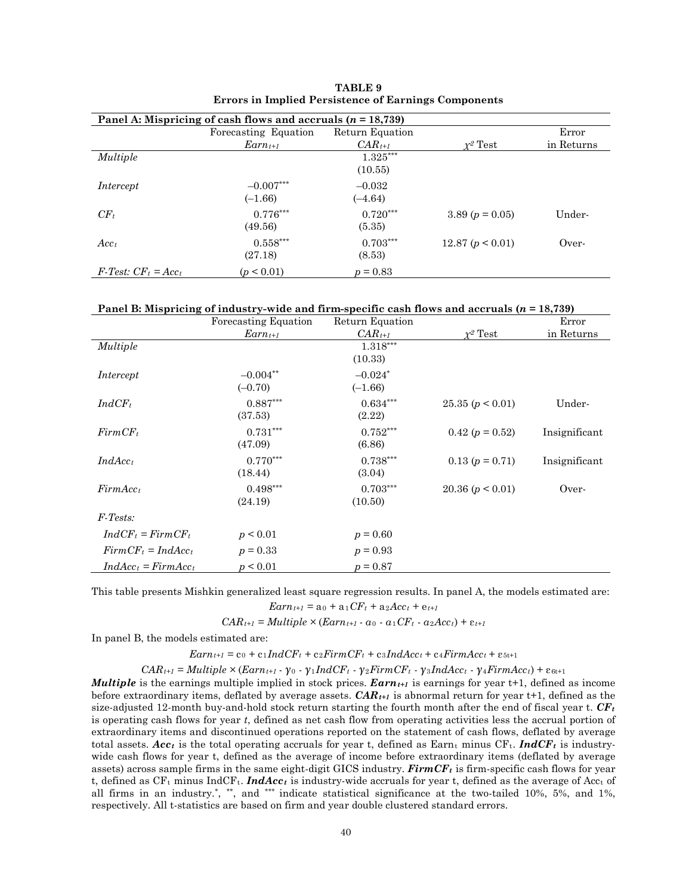| Panel A: Mispricing of cash flows and accruals $(n = 18,739)$ |                      |                 |                     |            |  |  |  |  |
|---------------------------------------------------------------|----------------------|-----------------|---------------------|------------|--|--|--|--|
|                                                               | Forecasting Equation | Return Equation |                     | Error      |  |  |  |  |
|                                                               | $Earnt+1$            | $CAR_{t+1}$     | $r^2$ Test          | in Returns |  |  |  |  |
| <i>Multiple</i>                                               |                      | $1.325***$      |                     |            |  |  |  |  |
|                                                               |                      | (10.55)         |                     |            |  |  |  |  |
| Intercept                                                     | $-0.007***$          | $-0.032$        |                     |            |  |  |  |  |
|                                                               | $(-1.66)$            | $(-4.64)$       |                     |            |  |  |  |  |
| $CF_t$                                                        | $0.776***$           | $0.720***$      | 3.89 ( $p = 0.05$ ) | Under-     |  |  |  |  |
|                                                               | (49.56)              | (5.35)          |                     |            |  |  |  |  |
| $Acc_t$                                                       | $0.558***$           | $0.703***$      | 12.87 $(p < 0.01)$  | Over-      |  |  |  |  |
|                                                               | (27.18)              | (8.53)          |                     |            |  |  |  |  |
| $F\text{-}Test: CF_t = Acc_t$                                 | (p < 0.01)           | $p = 0.83$      |                     |            |  |  |  |  |

**TABLE 9 Errors in Implied Persistence of Earnings Components**

| Panel B: Mispricing of industry-wide and firm-specific cash flows and accruals $(n = 18,739)$ |  |  |  |  |  |
|-----------------------------------------------------------------------------------------------|--|--|--|--|--|
|-----------------------------------------------------------------------------------------------|--|--|--|--|--|

|                            | <b>Forecasting Equation</b> | Return Equation |                       | Error         |
|----------------------------|-----------------------------|-----------------|-----------------------|---------------|
|                            | $Earnt+1$                   | $CAR_{t+1}$     | $\chi^2$ Test         | in Returns    |
| Multiple                   |                             | 1.318***        |                       |               |
|                            |                             | (10.33)         |                       |               |
| Intercept                  | $-0.004**$                  | $-0.024*$       |                       |               |
|                            | $(-0.70)$                   | $(-1.66)$       |                       |               |
| $IndCF_t$                  | $0.887***$                  | $0.634***$      | 25.35(p < 0.01)       | Under-        |
|                            | (37.53)                     | (2.22)          |                       |               |
| $FirmCF_t$                 | $0.731***$                  | $0.752***$      | $0.42$ ( $p = 0.52$ ) | Insignificant |
|                            | (47.09)                     | (6.86)          |                       |               |
| $IndAcc_t$                 | $0.770***$                  | $0.738***$      | $0.13 (p = 0.71)$     | Insignificant |
|                            | (18.44)                     | (3.04)          |                       |               |
| FirmAcc <sub>t</sub>       | $0.498***$                  | $0.703***$      | 20.36 $(p < 0.01)$    | Over-         |
|                            | (24.19)                     | (10.50)         |                       |               |
| $F\text{-}\mathit{Tests:}$ |                             |                 |                       |               |
| $IndCF_t = FirmCF_t$       | p < 0.01                    | $p = 0.60$      |                       |               |
| $FirmCF_t = IndAcc_t$      | $p = 0.33$                  | $p = 0.93$      |                       |               |
| $IndAcc_t = FirmAcc_t$     | p < 0.01                    | $p = 0.87$      |                       |               |

This table presents Mishkin generalized least square regression results. In panel A, the models estimated are:  $Earn_{t+1} = a_0 + a_1CF_t + a_2Acc_t + e_{t+1}$ 

 $CAR_{t+1} = Multiple \times (Earn_{t+1} - a_0 - a_1CF_t - a_2Acc_t) + \varepsilon_{t+1}$ 

In panel B, the models estimated are:

 $Earn_{t+1} = c_0 + c_1 IndCF_t + c_2 FirmCF_t + c_3IndAcc_t + c_4 FirmAcc_t + c_{5t+1}$ 

*CARt+1* = *Multiple ×* (*Earnt+1* - *γ*<sup>0</sup> - *γ*1*IndCFt* - *γ*2*FirmCFt* - *γ*3*IndAcct* - *γ*4*FirmAcct*) + ε6t+1

*Multiple* is the earnings multiple implied in stock prices.  $\boldsymbol{Earn}_{t+1}$  is earnings for year t+1, defined as income before extraordinary items, deflated by average assets.  $CAR_{t+1}$  is abnormal return for year  $t+1$ , defined as the size-adjusted 12-month buy-and-hold stock return starting the fourth month after the end of fiscal year  $t$ .  $CF<sub>t</sub>$ is operating cash flows for year *t*, defined as net cash flow from operating activities less the accrual portion of extraordinary items and discontinued operations reported on the statement of cash flows, deflated by average total assets. *Acc<sub>t</sub>* is the total operating accruals for year t, defined as Earn<sub>t</sub> minus CF<sub>t</sub>. *IndCF<sub>t</sub>* is industrywide cash flows for year t, defined as the average of income before extraordinary items (deflated by average assets) across sample firms in the same eight-digit GICS industry. *FirmCFt* is firm-specific cash flows for year t, defined as  $CF_t$  minus IndCF<sub>t</sub>. *IndAcc<sub>t</sub>* is industry-wide accruals for year t, defined as the average of Acc<sub>t</sub> of all firms in an industry.<sup>\*</sup>, \*\*, and \*\*\* indicate statistical significance at the two-tailed 10%, 5%, and 1%, respectively. All t-statistics are based on firm and year double clustered standard errors.